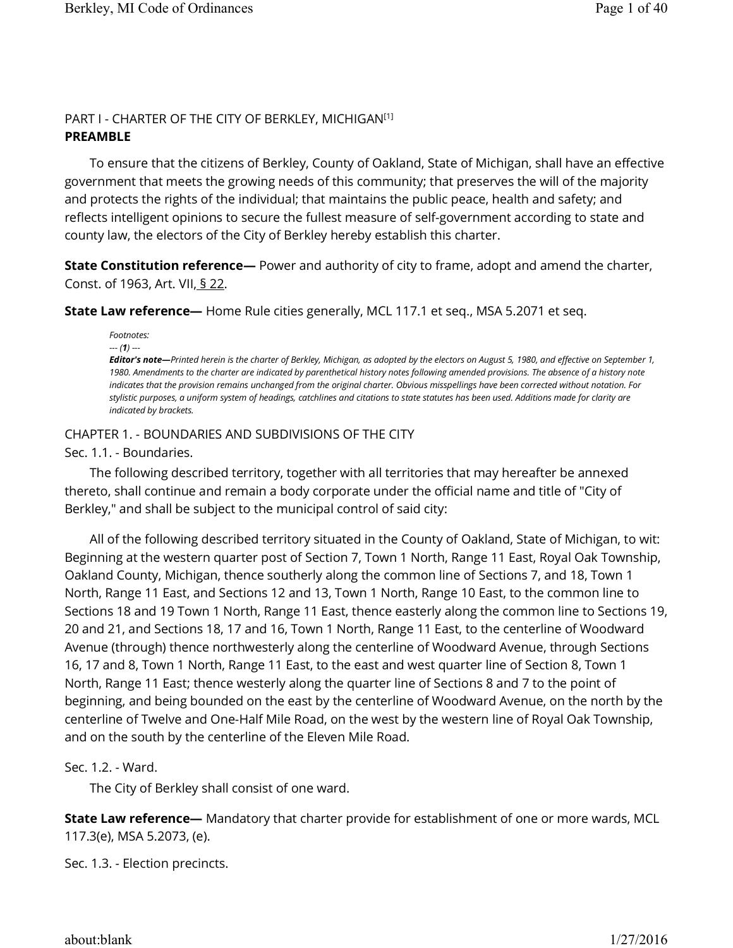## PART I - CHARTER OF THE CITY OF BERKLEY, MICHIGAN [1] **PREAMBLE**

To ensure that the citizens of Berkley, County of Oakland, State of Michigan, shall have an effective government that meets the growing needs of this community; that preserves the will of the majority and protects the rights of the individual; that maintains the public peace, health and safety; and reflects intelligent opinions to secure the fullest measure of self-government according to state and county law, the electors of the City of Berkley hereby establish this charter.

**State Constitution reference—** Power and authority of city to frame, adopt and amend the charter, Const. of 1963, Art. VII, § 22.

**State Law reference—** Home Rule cities generally, MCL 117.1 et seq., MSA 5.2071 et seq.

*Footnotes:* 

*--- (1) ---*

*Editor's note—Printed herein is the charter of Berkley, Michigan, as adopted by the electors on August 5, 1980, and effective on September 1,*  1980. Amendments to the charter are indicated by parenthetical history notes following amended provisions. The absence of a history note *indicates that the provision remains unchanged from the original charter. Obvious misspellings have been corrected without notation. For stylistic purposes, a uniform system of headings, catchlines and citations to state statutes has been used. Additions made for clarity are indicated by brackets.*

# CHAPTER 1. - BOUNDARIES AND SUBDIVISIONS OF THE CITY

Sec. 1.1. - Boundaries.

The following described territory, together with all territories that may hereafter be annexed thereto, shall continue and remain a body corporate under the official name and title of "City of Berkley," and shall be subject to the municipal control of said city:

All of the following described territory situated in the County of Oakland, State of Michigan, to wit: Beginning at the western quarter post of Section 7, Town 1 North, Range 11 East, Royal Oak Township, Oakland County, Michigan, thence southerly along the common line of Sections 7, and 18, Town 1 North, Range 11 East, and Sections 12 and 13, Town 1 North, Range 10 East, to the common line to Sections 18 and 19 Town 1 North, Range 11 East, thence easterly along the common line to Sections 19, 20 and 21, and Sections 18, 17 and 16, Town 1 North, Range 11 East, to the centerline of Woodward Avenue (through) thence northwesterly along the centerline of Woodward Avenue, through Sections 16, 17 and 8, Town 1 North, Range 11 East, to the east and west quarter line of Section 8, Town 1 North, Range 11 East; thence westerly along the quarter line of Sections 8 and 7 to the point of beginning, and being bounded on the east by the centerline of Woodward Avenue, on the north by the centerline of Twelve and One-Half Mile Road, on the west by the western line of Royal Oak Township, and on the south by the centerline of the Eleven Mile Road.

Sec. 1.2. - Ward.

The City of Berkley shall consist of one ward.

**State Law reference—** Mandatory that charter provide for establishment of one or more wards, MCL 117.3(e), MSA 5.2073, (e).

Sec. 1.3. - Election precincts.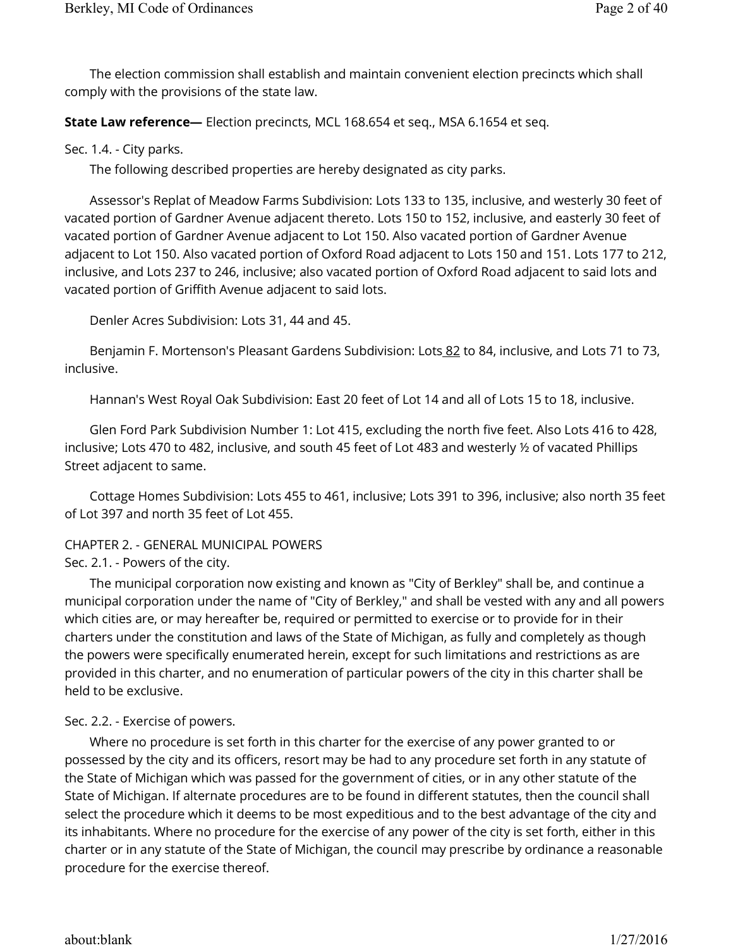The election commission shall establish and maintain convenient election precincts which shall comply with the provisions of the state law.

**State Law reference—** Election precincts, MCL 168.654 et seq., MSA 6.1654 et seq.

Sec. 1.4. - City parks.

The following described properties are hereby designated as city parks.

Assessor's Replat of Meadow Farms Subdivision: Lots 133 to 135, inclusive, and westerly 30 feet of vacated portion of Gardner Avenue adjacent thereto. Lots 150 to 152, inclusive, and easterly 30 feet of vacated portion of Gardner Avenue adjacent to Lot 150. Also vacated portion of Gardner Avenue adjacent to Lot 150. Also vacated portion of Oxford Road adjacent to Lots 150 and 151. Lots 177 to 212, inclusive, and Lots 237 to 246, inclusive; also vacated portion of Oxford Road adjacent to said lots and vacated portion of Griffith Avenue adjacent to said lots.

Denler Acres Subdivision: Lots 31, 44 and 45.

Benjamin F. Mortenson's Pleasant Gardens Subdivision: Lots 82 to 84, inclusive, and Lots 71 to 73, inclusive.

Hannan's West Royal Oak Subdivision: East 20 feet of Lot 14 and all of Lots 15 to 18, inclusive.

Glen Ford Park Subdivision Number 1: Lot 415, excluding the north five feet. Also Lots 416 to 428, inclusive; Lots 470 to 482, inclusive, and south 45 feet of Lot 483 and westerly ½ of vacated Phillips Street adjacent to same.

Cottage Homes Subdivision: Lots 455 to 461, inclusive; Lots 391 to 396, inclusive; also north 35 feet of Lot 397 and north 35 feet of Lot 455.

# CHAPTER 2. - GENERAL MUNICIPAL POWERS

Sec. 2.1. - Powers of the city.

The municipal corporation now existing and known as "City of Berkley" shall be, and continue a municipal corporation under the name of "City of Berkley," and shall be vested with any and all powers which cities are, or may hereafter be, required or permitted to exercise or to provide for in their charters under the constitution and laws of the State of Michigan, as fully and completely as though the powers were specifically enumerated herein, except for such limitations and restrictions as are provided in this charter, and no enumeration of particular powers of the city in this charter shall be held to be exclusive.

## Sec. 2.2. - Exercise of powers.

Where no procedure is set forth in this charter for the exercise of any power granted to or possessed by the city and its officers, resort may be had to any procedure set forth in any statute of the State of Michigan which was passed for the government of cities, or in any other statute of the State of Michigan. If alternate procedures are to be found in different statutes, then the council shall select the procedure which it deems to be most expeditious and to the best advantage of the city and its inhabitants. Where no procedure for the exercise of any power of the city is set forth, either in this charter or in any statute of the State of Michigan, the council may prescribe by ordinance a reasonable procedure for the exercise thereof.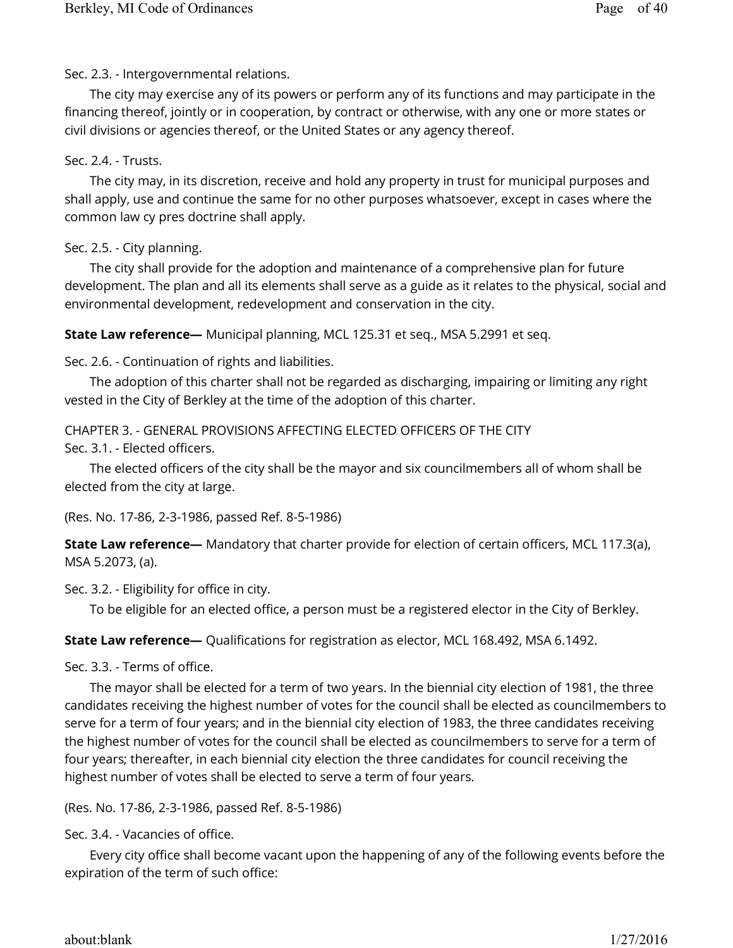Sec. 2.3. - Intergovernmental relations.

The city may exercise any of its powers or perform any of its functions and may participate in the financing thereof, jointly or in cooperation, by contract or otherwise, with any one or more states or civil divisions or agencies thereof, or the United States or any agency thereof.

#### Sec. 2.4. - Trusts.

The city may, in its discretion, receive and hold any property in trust for municipal purposes and shall apply, use and continue the same for no other purposes whatsoever, except in cases where the common law cy pres doctrine shall apply.

## Sec. 2.5. - City planning.

The city shall provide for the adoption and maintenance of a comprehensive plan for future development. The plan and all its elements shall serve as a guide as it relates to the physical, social and environmental development, redevelopment and conservation in the city.

**State Law reference—** Municipal planning, MCL 125.31 et seq., MSA 5.2991 et seq.

Sec. 2.6. - Continuation of rights and liabilities.

The adoption of this charter shall not be regarded as discharging, impairing or limiting any right vested in the City of Berkley at the time of the adoption of this charter.

CHAPTER 3. - GENERAL PROVISIONS AFFECTING ELECTED OFFICERS OF THE CITY Sec. 3.1. - Elected officers.

The elected officers of the city shall be the mayor and six councilmembers all of whom shall be elected from the city at large.

(Res. No. 17-86, 2-3-1986, passed Ref. 8-5-1986)

**State Law reference—** Mandatory that charter provide for election of certain officers, MCL 117.3(a), MSA 5.2073, (a).

Sec. 3.2. - Eligibility for office in city.

To be eligible for an elected office, a person must be a registered elector in the City of Berkley.

**State Law reference—** Qualifications for registration as elector, MCL 168.492, MSA 6.1492.

Sec. 3.3. - Terms of office.

The mayor shall be elected for a term of two years. In the biennial city election of 1981, the three candidates receiving the highest number of votes for the council shall be elected as councilmembers to serve for a term of four years; and in the biennial city election of 1983, the three candidates receiving the highest number of votes for the council shall be elected as councilmembers to serve for a term of four years; thereafter, in each biennial city election the three candidates for council receiving the highest number of votes shall be elected to serve a term of four years.

(Res. No. 17-86, 2-3-1986, passed Ref. 8-5-1986)

Sec. 3.4. - Vacancies of office.

Every city office shall become vacant upon the happening of any of the following events before the expiration of the term of such office: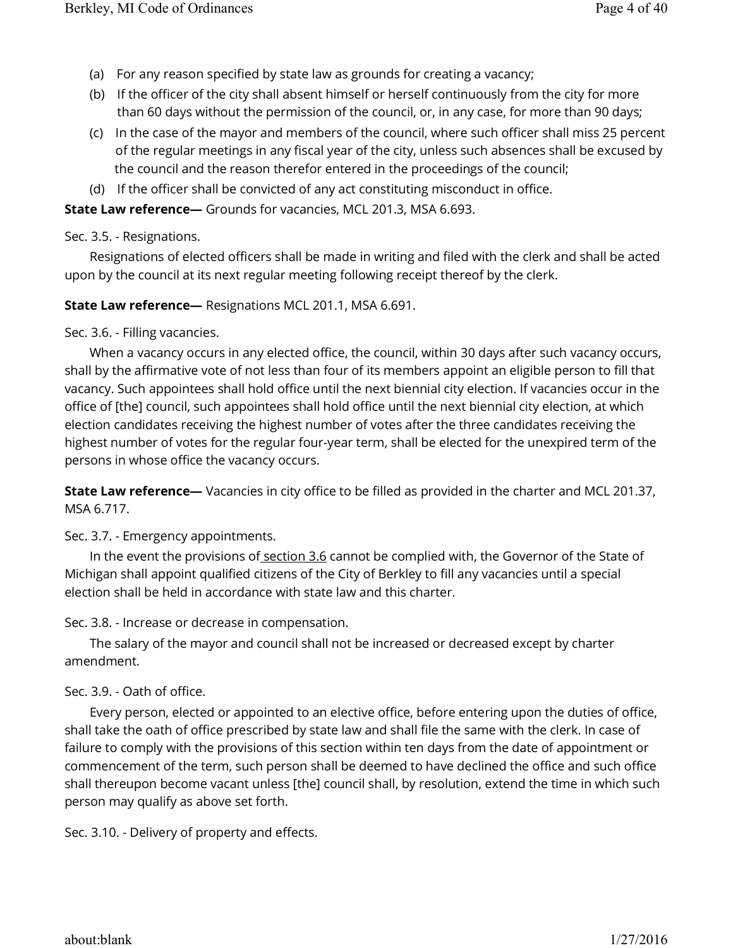- (a) For any reason specified by state law as grounds for creating a vacancy;
- (b) If the officer of the city shall absent himself or herself continuously from the city for more than 60 days without the permission of the council, or, in any case, for more than 90 days;
- (c) In the case of the mayor and members of the council, where such officer shall miss 25 percent of the regular meetings in any fiscal year of the city, unless such absences shall be excused by the council and the reason therefor entered in the proceedings of the council;
- (d) If the officer shall be convicted of any act constituting misconduct in office.

**State Law reference—** Grounds for vacancies, MCL 201.3, MSA 6.693.

Sec. 3.5. - Resignations.

Resignations of elected officers shall be made in writing and filed with the clerk and shall be acted upon by the council at its next regular meeting following receipt thereof by the clerk.

**State Law reference—** Resignations MCL 201.1, MSA 6.691.

Sec. 3.6. - Filling vacancies.

When a vacancy occurs in any elected office, the council, within 30 days after such vacancy occurs, shall by the affirmative vote of not less than four of its members appoint an eligible person to fill that vacancy. Such appointees shall hold office until the next biennial city election. If vacancies occur in the office of [the] council, such appointees shall hold office until the next biennial city election, at which election candidates receiving the highest number of votes after the three candidates receiving the highest number of votes for the regular four-year term, shall be elected for the unexpired term of the persons in whose office the vacancy occurs.

**State Law reference—** Vacancies in city office to be filled as provided in the charter and MCL 201.37, MSA 6.717.

## Sec. 3.7. - Emergency appointments.

In the event the provisions of section 3.6 cannot be complied with, the Governor of the State of Michigan shall appoint qualified citizens of the City of Berkley to fill any vacancies until a special election shall be held in accordance with state law and this charter.

Sec. 3.8. - Increase or decrease in compensation.

The salary of the mayor and council shall not be increased or decreased except by charter amendment.

# Sec. 3.9. - Oath of office.

Every person, elected or appointed to an elective office, before entering upon the duties of office, shall take the oath of office prescribed by state law and shall file the same with the clerk. In case of failure to comply with the provisions of this section within ten days from the date of appointment or commencement of the term, such person shall be deemed to have declined the office and such office shall thereupon become vacant unless [the] council shall, by resolution, extend the time in which such person may qualify as above set forth.

Sec. 3.10. - Delivery of property and effects.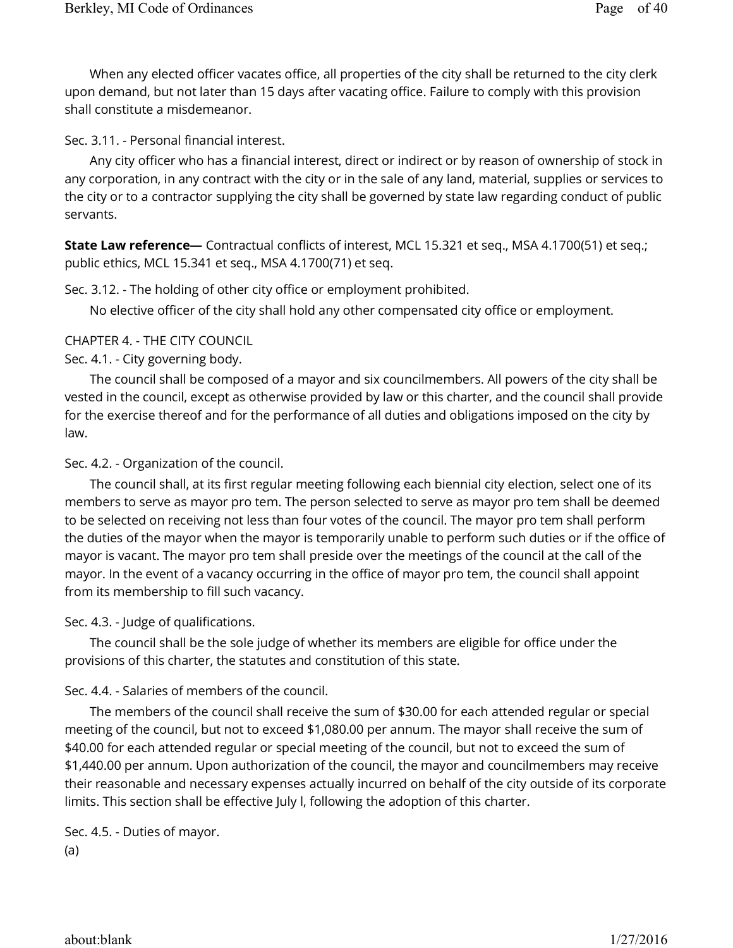When any elected officer vacates office, all properties of the city shall be returned to the city clerk upon demand, but not later than 15 days after vacating office. Failure to comply with this provision shall constitute a misdemeanor.

Sec. 3.11. - Personal financial interest.

Any city officer who has a financial interest, direct or indirect or by reason of ownership of stock in any corporation, in any contract with the city or in the sale of any land, material, supplies or services to the city or to a contractor supplying the city shall be governed by state law regarding conduct of public servants.

**State Law reference—** Contractual conflicts of interest, MCL 15.321 et seq., MSA 4.1700(51) et seq.; public ethics, MCL 15.341 et seq., MSA 4.1700(71) et seq.

Sec. 3.12. - The holding of other city office or employment prohibited.

No elective officer of the city shall hold any other compensated city office or employment.

CHAPTER 4. - THE CITY COUNCIL

Sec. 4.1. - City governing body.

The council shall be composed of a mayor and six councilmembers. All powers of the city shall be vested in the council, except as otherwise provided by law or this charter, and the council shall provide for the exercise thereof and for the performance of all duties and obligations imposed on the city by law.

Sec. 4.2. - Organization of the council.

The council shall, at its first regular meeting following each biennial city election, select one of its members to serve as mayor pro tem. The person selected to serve as mayor pro tem shall be deemed to be selected on receiving not less than four votes of the council. The mayor pro tem shall perform the duties of the mayor when the mayor is temporarily unable to perform such duties or if the office of mayor is vacant. The mayor pro tem shall preside over the meetings of the council at the call of the mayor. In the event of a vacancy occurring in the office of mayor pro tem, the council shall appoint from its membership to fill such vacancy.

Sec. 4.3. - Judge of qualifications.

The council shall be the sole judge of whether its members are eligible for office under the provisions of this charter, the statutes and constitution of this state.

## Sec. 4.4. - Salaries of members of the council.

The members of the council shall receive the sum of \$30.00 for each attended regular or special meeting of the council, but not to exceed \$1,080.00 per annum. The mayor shall receive the sum of \$40.00 for each attended regular or special meeting of the council, but not to exceed the sum of \$1,440.00 per annum. Upon authorization of the council, the mayor and councilmembers may receive their reasonable and necessary expenses actually incurred on behalf of the city outside of its corporate limits. This section shall be effective July l, following the adoption of this charter.

(a) Sec. 4.5. - Duties of mayor.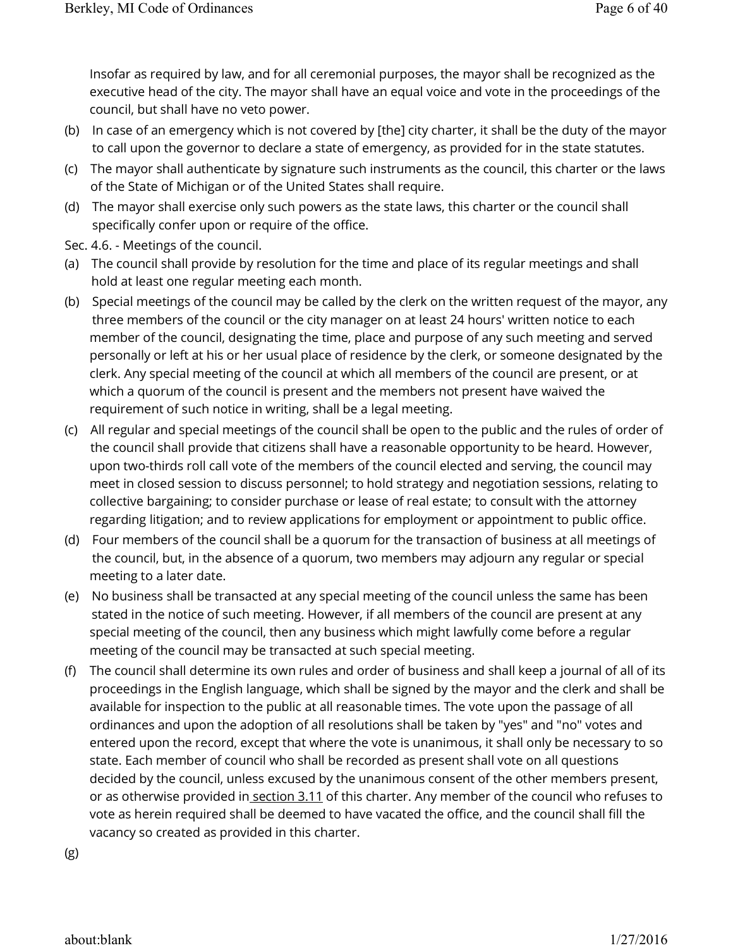Insofar as required by law, and for all ceremonial purposes, the mayor shall be recognized as the executive head of the city. The mayor shall have an equal voice and vote in the proceedings of the council, but shall have no veto power.

- (b) In case of an emergency which is not covered by [the] city charter, it shall be the duty of the mayor to call upon the governor to declare a state of emergency, as provided for in the state statutes.
- (c) The mayor shall authenticate by signature such instruments as the council, this charter or the laws of the State of Michigan or of the United States shall require.
- (d) The mayor shall exercise only such powers as the state laws, this charter or the council shall specifically confer upon or require of the office.
- Sec. 4.6. Meetings of the council.
- (a) The council shall provide by resolution for the time and place of its regular meetings and shall hold at least one regular meeting each month.
- (b) Special meetings of the council may be called by the clerk on the written request of the mayor, any three members of the council or the city manager on at least 24 hours' written notice to each member of the council, designating the time, place and purpose of any such meeting and served personally or left at his or her usual place of residence by the clerk, or someone designated by the clerk. Any special meeting of the council at which all members of the council are present, or at which a quorum of the council is present and the members not present have waived the requirement of such notice in writing, shall be a legal meeting.
- (c) All regular and special meetings of the council shall be open to the public and the rules of order of the council shall provide that citizens shall have a reasonable opportunity to be heard. However, upon two-thirds roll call vote of the members of the council elected and serving, the council may meet in closed session to discuss personnel; to hold strategy and negotiation sessions, relating to collective bargaining; to consider purchase or lease of real estate; to consult with the attorney regarding litigation; and to review applications for employment or appointment to public office.
- (d) Four members of the council shall be a quorum for the transaction of business at all meetings of the council, but, in the absence of a quorum, two members may adjourn any regular or special meeting to a later date.
- (e) No business shall be transacted at any special meeting of the council unless the same has been stated in the notice of such meeting. However, if all members of the council are present at any special meeting of the council, then any business which might lawfully come before a regular meeting of the council may be transacted at such special meeting.
- (f) The council shall determine its own rules and order of business and shall keep a journal of all of its proceedings in the English language, which shall be signed by the mayor and the clerk and shall be available for inspection to the public at all reasonable times. The vote upon the passage of all ordinances and upon the adoption of all resolutions shall be taken by "yes" and "no" votes and entered upon the record, except that where the vote is unanimous, it shall only be necessary to so state. Each member of council who shall be recorded as present shall vote on all questions decided by the council, unless excused by the unanimous consent of the other members present, or as otherwise provided in section 3.11 of this charter. Any member of the council who refuses to vote as herein required shall be deemed to have vacated the office, and the council shall fill the vacancy so created as provided in this charter.

(g)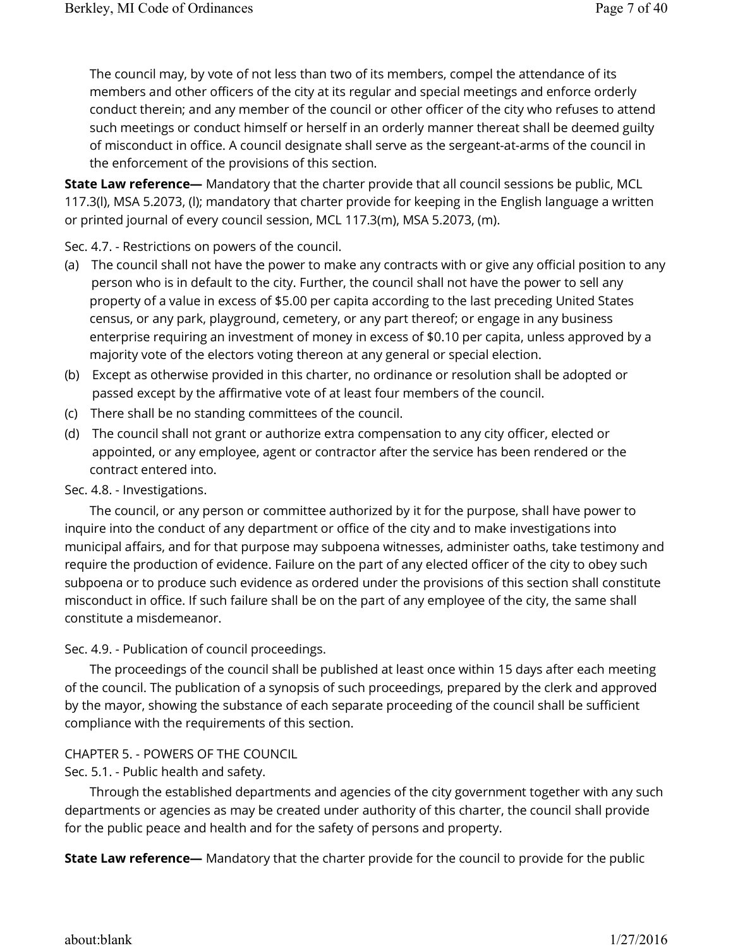The council may, by vote of not less than two of its members, compel the attendance of its members and other officers of the city at its regular and special meetings and enforce orderly conduct therein; and any member of the council or other officer of the city who refuses to attend such meetings or conduct himself or herself in an orderly manner thereat shall be deemed guilty of misconduct in office. A council designate shall serve as the sergeant-at-arms of the council in the enforcement of the provisions of this section.

**State Law reference—** Mandatory that the charter provide that all council sessions be public, MCL 117.3(l), MSA 5.2073, (l); mandatory that charter provide for keeping in the English language a written or printed journal of every council session, MCL 117.3(m), MSA 5.2073, (m).

Sec. 4.7. - Restrictions on powers of the council.

- (a) The council shall not have the power to make any contracts with or give any official position to any person who is in default to the city. Further, the council shall not have the power to sell any property of a value in excess of \$5.00 per capita according to the last preceding United States census, or any park, playground, cemetery, or any part thereof; or engage in any business enterprise requiring an investment of money in excess of \$0.10 per capita, unless approved by a majority vote of the electors voting thereon at any general or special election.
- (b) Except as otherwise provided in this charter, no ordinance or resolution shall be adopted or passed except by the affirmative vote of at least four members of the council.
- (c) There shall be no standing committees of the council.
- (d) The council shall not grant or authorize extra compensation to any city officer, elected or appointed, or any employee, agent or contractor after the service has been rendered or the contract entered into.

## Sec. 4.8. - Investigations.

The council, or any person or committee authorized by it for the purpose, shall have power to inquire into the conduct of any department or office of the city and to make investigations into municipal affairs, and for that purpose may subpoena witnesses, administer oaths, take testimony and require the production of evidence. Failure on the part of any elected officer of the city to obey such subpoena or to produce such evidence as ordered under the provisions of this section shall constitute misconduct in office. If such failure shall be on the part of any employee of the city, the same shall constitute a misdemeanor.

## Sec. 4.9. - Publication of council proceedings.

The proceedings of the council shall be published at least once within 15 days after each meeting of the council. The publication of a synopsis of such proceedings, prepared by the clerk and approved by the mayor, showing the substance of each separate proceeding of the council shall be sufficient compliance with the requirements of this section.

# CHAPTER 5. - POWERS OF THE COUNCIL

Sec. 5.1. - Public health and safety.

Through the established departments and agencies of the city government together with any such departments or agencies as may be created under authority of this charter, the council shall provide for the public peace and health and for the safety of persons and property.

**State Law reference—** Mandatory that the charter provide for the council to provide for the public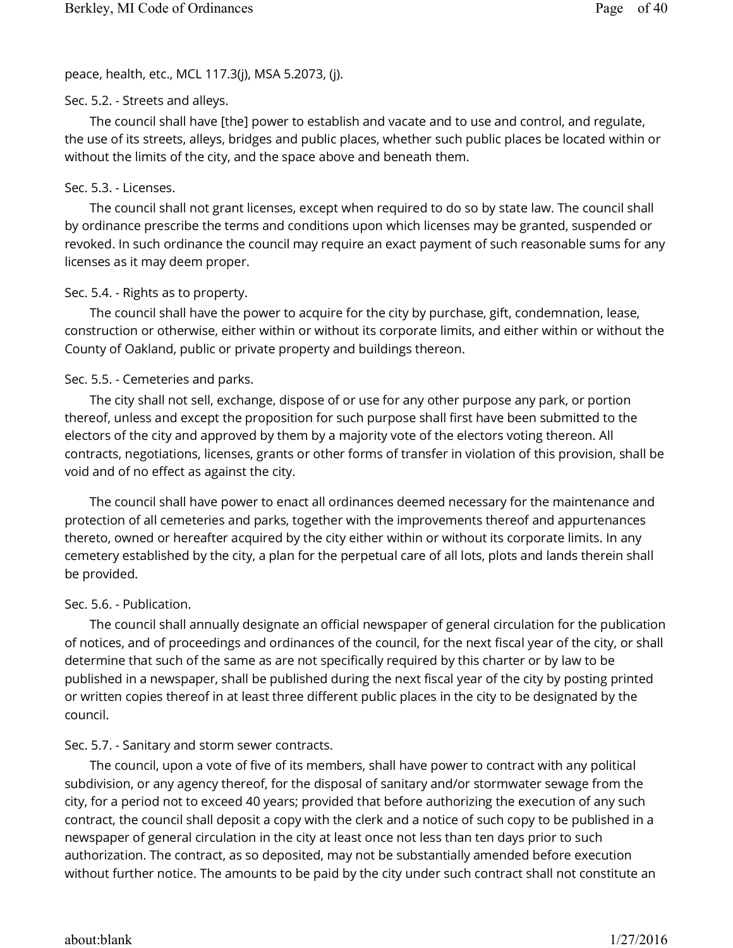peace, health, etc., MCL 117.3(j), MSA 5.2073, (j).

## Sec. 5.2. - Streets and alleys.

The council shall have [the] power to establish and vacate and to use and control, and regulate, the use of its streets, alleys, bridges and public places, whether such public places be located within or without the limits of the city, and the space above and beneath them.

## Sec. 5.3. - Licenses.

The council shall not grant licenses, except when required to do so by state law. The council shall by ordinance prescribe the terms and conditions upon which licenses may be granted, suspended or revoked. In such ordinance the council may require an exact payment of such reasonable sums for any licenses as it may deem proper.

## Sec. 5.4. - Rights as to property.

The council shall have the power to acquire for the city by purchase, gift, condemnation, lease, construction or otherwise, either within or without its corporate limits, and either within or without the County of Oakland, public or private property and buildings thereon.

## Sec. 5.5. - Cemeteries and parks.

The city shall not sell, exchange, dispose of or use for any other purpose any park, or portion thereof, unless and except the proposition for such purpose shall first have been submitted to the electors of the city and approved by them by a majority vote of the electors voting thereon. All contracts, negotiations, licenses, grants or other forms of transfer in violation of this provision, shall be void and of no effect as against the city.

The council shall have power to enact all ordinances deemed necessary for the maintenance and protection of all cemeteries and parks, together with the improvements thereof and appurtenances thereto, owned or hereafter acquired by the city either within or without its corporate limits. In any cemetery established by the city, a plan for the perpetual care of all lots, plots and lands therein shall be provided.

## Sec. 5.6. - Publication.

The council shall annually designate an official newspaper of general circulation for the publication of notices, and of proceedings and ordinances of the council, for the next fiscal year of the city, or shall determine that such of the same as are not specifically required by this charter or by law to be published in a newspaper, shall be published during the next fiscal year of the city by posting printed or written copies thereof in at least three different public places in the city to be designated by the council.

## Sec. 5.7. - Sanitary and storm sewer contracts.

The council, upon a vote of five of its members, shall have power to contract with any political subdivision, or any agency thereof, for the disposal of sanitary and/or stormwater sewage from the city, for a period not to exceed 40 years; provided that before authorizing the execution of any such contract, the council shall deposit a copy with the clerk and a notice of such copy to be published in a newspaper of general circulation in the city at least once not less than ten days prior to such authorization. The contract, as so deposited, may not be substantially amended before execution without further notice. The amounts to be paid by the city under such contract shall not constitute an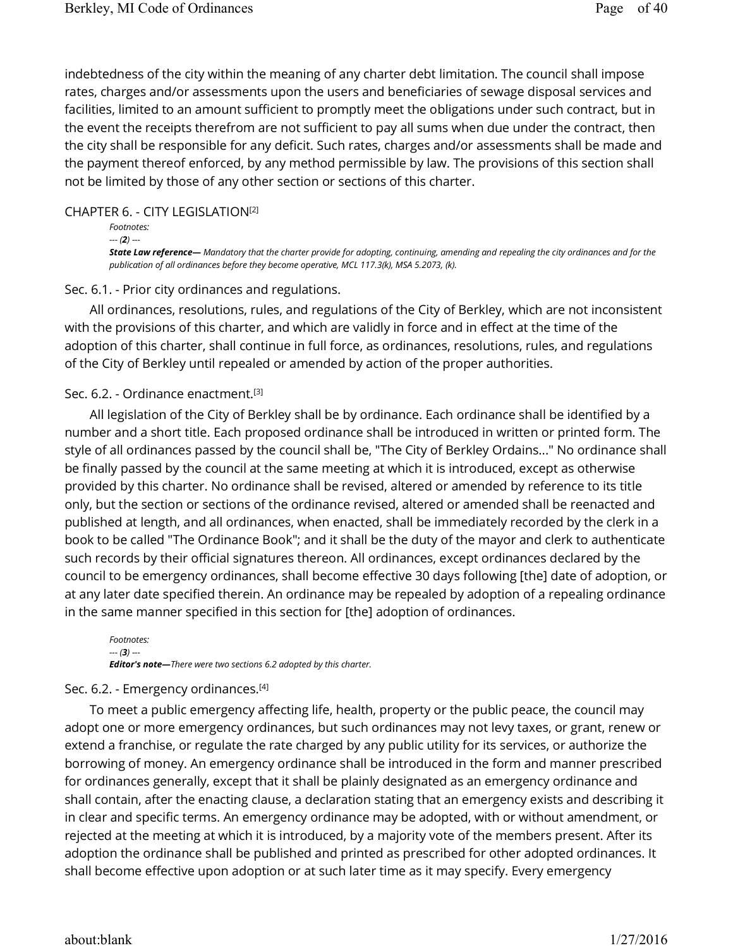indebtedness of the city within the meaning of any charter debt limitation. The council shall impose rates, charges and/or assessments upon the users and beneficiaries of sewage disposal services and facilities, limited to an amount sufficient to promptly meet the obligations under such contract, but in the event the receipts therefrom are not sufficient to pay all sums when due under the contract, then the city shall be responsible for any deficit. Such rates, charges and/or assessments shall be made and the payment thereof enforced, by any method permissible by law. The provisions of this section shall not be limited by those of any other section or sections of this charter.

#### CHAPTER 6. - CITY LEGISLATION [2]

```
Footnotes: 
--- (2) ---
State Law reference— Mandatory that the charter provide for adopting, continuing, amending and repealing the city ordinances and for the 
publication of all ordinances before they become operative, MCL 117.3(k), MSA 5.2073, (k).
```
#### Sec. 6.1. - Prior city ordinances and regulations.

All ordinances, resolutions, rules, and regulations of the City of Berkley, which are not inconsistent with the provisions of this charter, and which are validly in force and in effect at the time of the adoption of this charter, shall continue in full force, as ordinances, resolutions, rules, and regulations of the City of Berkley until repealed or amended by action of the proper authorities.

#### Sec. 6.2. - Ordinance enactment. [3]

All legislation of the City of Berkley shall be by ordinance. Each ordinance shall be identified by a number and a short title. Each proposed ordinance shall be introduced in written or printed form. The style of all ordinances passed by the council shall be, "The City of Berkley Ordains..." No ordinance shall be finally passed by the council at the same meeting at which it is introduced, except as otherwise provided by this charter. No ordinance shall be revised, altered or amended by reference to its title only, but the section or sections of the ordinance revised, altered or amended shall be reenacted and published at length, and all ordinances, when enacted, shall be immediately recorded by the clerk in a book to be called "The Ordinance Book"; and it shall be the duty of the mayor and clerk to authenticate such records by their official signatures thereon. All ordinances, except ordinances declared by the council to be emergency ordinances, shall become effective 30 days following [the] date of adoption, or at any later date specified therein. An ordinance may be repealed by adoption of a repealing ordinance in the same manner specified in this section for [the] adoption of ordinances.

*Footnotes: --- (3) --- Editor's note—There were two sections 6.2 adopted by this charter.*

#### Sec. 6.2. - Emergency ordinances. [4]

To meet a public emergency affecting life, health, property or the public peace, the council may adopt one or more emergency ordinances, but such ordinances may not levy taxes, or grant, renew or extend a franchise, or regulate the rate charged by any public utility for its services, or authorize the borrowing of money. An emergency ordinance shall be introduced in the form and manner prescribed for ordinances generally, except that it shall be plainly designated as an emergency ordinance and shall contain, after the enacting clause, a declaration stating that an emergency exists and describing it in clear and specific terms. An emergency ordinance may be adopted, with or without amendment, or rejected at the meeting at which it is introduced, by a majority vote of the members present. After its adoption the ordinance shall be published and printed as prescribed for other adopted ordinances. It shall become effective upon adoption or at such later time as it may specify. Every emergency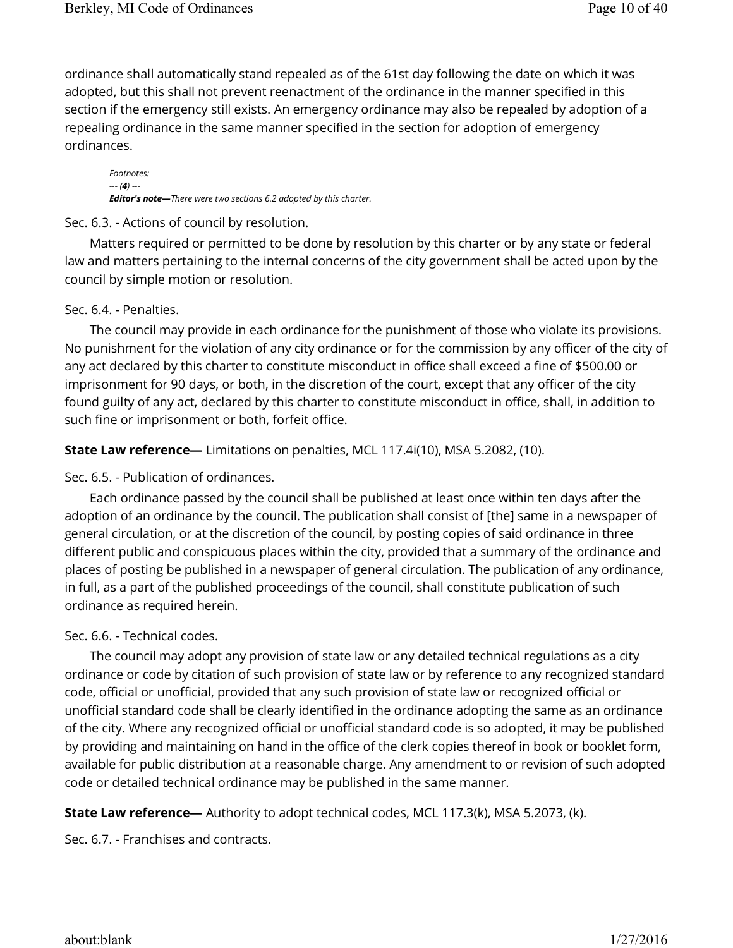ordinance shall automatically stand repealed as of the 61st day following the date on which it was adopted, but this shall not prevent reenactment of the ordinance in the manner specified in this section if the emergency still exists. An emergency ordinance may also be repealed by adoption of a repealing ordinance in the same manner specified in the section for adoption of emergency ordinances.

*Footnotes: --- (4) --- Editor's note—There were two sections 6.2 adopted by this charter.*

#### Sec. 6.3. - Actions of council by resolution.

Matters required or permitted to be done by resolution by this charter or by any state or federal law and matters pertaining to the internal concerns of the city government shall be acted upon by the council by simple motion or resolution.

#### Sec. 6.4. - Penalties.

The council may provide in each ordinance for the punishment of those who violate its provisions. No punishment for the violation of any city ordinance or for the commission by any officer of the city of any act declared by this charter to constitute misconduct in office shall exceed a fine of \$500.00 or imprisonment for 90 days, or both, in the discretion of the court, except that any officer of the city found guilty of any act, declared by this charter to constitute misconduct in office, shall, in addition to such fine or imprisonment or both, forfeit office.

**State Law reference—** Limitations on penalties, MCL 117.4i(10), MSA 5.2082, (10).

Sec. 6.5. - Publication of ordinances.

Each ordinance passed by the council shall be published at least once within ten days after the adoption of an ordinance by the council. The publication shall consist of [the] same in a newspaper of general circulation, or at the discretion of the council, by posting copies of said ordinance in three different public and conspicuous places within the city, provided that a summary of the ordinance and places of posting be published in a newspaper of general circulation. The publication of any ordinance, in full, as a part of the published proceedings of the council, shall constitute publication of such ordinance as required herein.

## Sec. 6.6. - Technical codes.

The council may adopt any provision of state law or any detailed technical regulations as a city ordinance or code by citation of such provision of state law or by reference to any recognized standard code, official or unofficial, provided that any such provision of state law or recognized official or unofficial standard code shall be clearly identified in the ordinance adopting the same as an ordinance of the city. Where any recognized official or unofficial standard code is so adopted, it may be published by providing and maintaining on hand in the office of the clerk copies thereof in book or booklet form, available for public distribution at a reasonable charge. Any amendment to or revision of such adopted code or detailed technical ordinance may be published in the same manner.

**State Law reference—** Authority to adopt technical codes, MCL 117.3(k), MSA 5.2073, (k).

Sec. 6.7. - Franchises and contracts.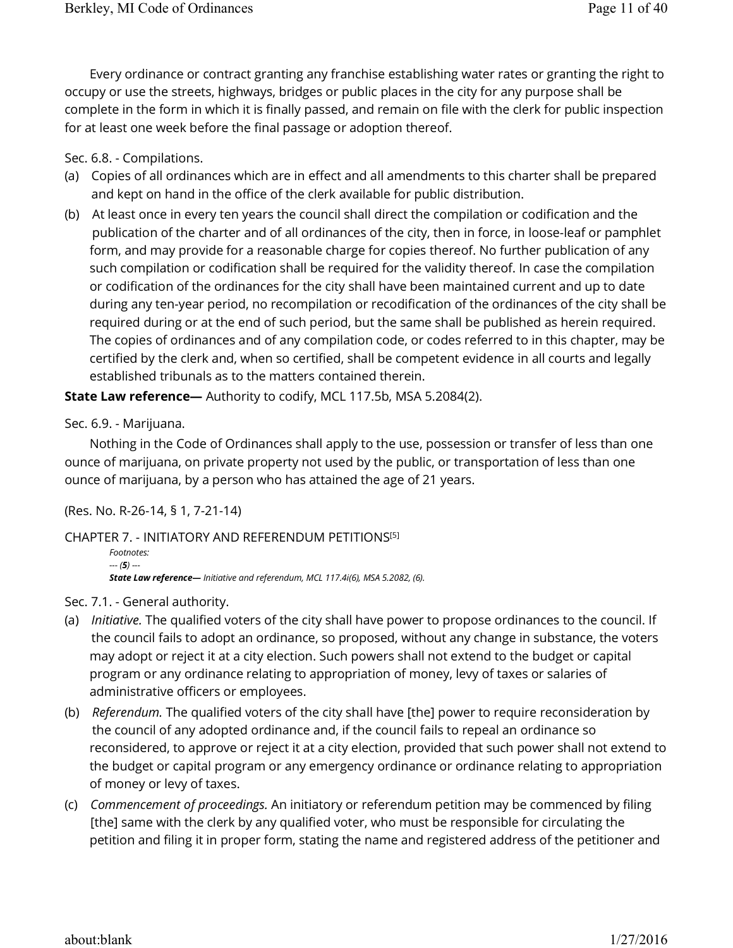Every ordinance or contract granting any franchise establishing water rates or granting the right to occupy or use the streets, highways, bridges or public places in the city for any purpose shall be complete in the form in which it is finally passed, and remain on file with the clerk for public inspection for at least one week before the final passage or adoption thereof.

Sec. 6.8. - Compilations.

- (a) Copies of all ordinances which are in effect and all amendments to this charter shall be prepared and kept on hand in the office of the clerk available for public distribution.
- (b) At least once in every ten years the council shall direct the compilation or codification and the publication of the charter and of all ordinances of the city, then in force, in loose-leaf or pamphlet form, and may provide for a reasonable charge for copies thereof. No further publication of any such compilation or codification shall be required for the validity thereof. In case the compilation or codification of the ordinances for the city shall have been maintained current and up to date during any ten-year period, no recompilation or recodification of the ordinances of the city shall be required during or at the end of such period, but the same shall be published as herein required. The copies of ordinances and of any compilation code, or codes referred to in this chapter, may be certified by the clerk and, when so certified, shall be competent evidence in all courts and legally established tribunals as to the matters contained therein.

**State Law reference—** Authority to codify, MCL 117.5b, MSA 5.2084(2).

Sec. 6.9. - Marijuana.

Nothing in the Code of Ordinances shall apply to the use, possession or transfer of less than one ounce of marijuana, on private property not used by the public, or transportation of less than one ounce of marijuana, by a person who has attained the age of 21 years.

(Res. No. R-26-14, § 1, 7-21-14)

CHAPTER 7. - INITIATORY AND REFERENDUM PETITIONS [5]

```
Footnotes: 
--- (5) ---
State Law reference— Initiative and referendum, MCL 117.4i(6), MSA 5.2082, (6).
```
Sec. 7.1. - General authority.

- (a) *Initiative.* The qualified voters of the city shall have power to propose ordinances to the council. If the council fails to adopt an ordinance, so proposed, without any change in substance, the voters may adopt or reject it at a city election. Such powers shall not extend to the budget or capital program or any ordinance relating to appropriation of money, levy of taxes or salaries of administrative officers or employees.
- (b) *Referendum.* The qualified voters of the city shall have [the] power to require reconsideration by the council of any adopted ordinance and, if the council fails to repeal an ordinance so reconsidered, to approve or reject it at a city election, provided that such power shall not extend to the budget or capital program or any emergency ordinance or ordinance relating to appropriation of money or levy of taxes.
- (c) *Commencement of proceedings.* An initiatory or referendum petition may be commenced by filing [the] same with the clerk by any qualified voter, who must be responsible for circulating the petition and filing it in proper form, stating the name and registered address of the petitioner and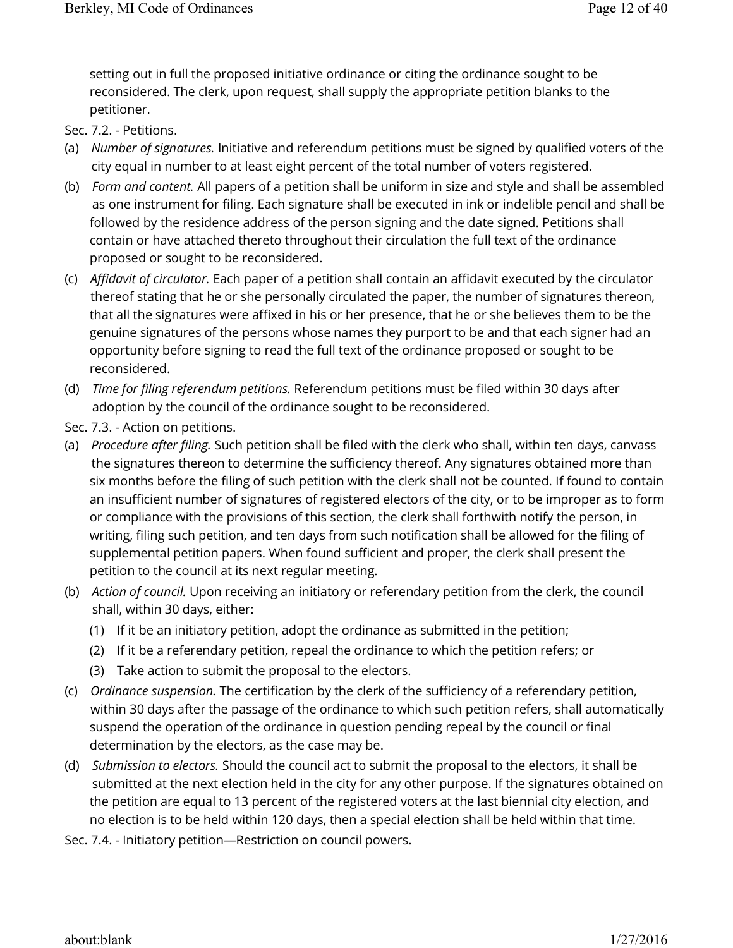setting out in full the proposed initiative ordinance or citing the ordinance sought to be reconsidered. The clerk, upon request, shall supply the appropriate petition blanks to the petitioner.

Sec. 7.2. - Petitions.

- (a) *Number of signatures.* Initiative and referendum petitions must be signed by qualified voters of the city equal in number to at least eight percent of the total number of voters registered.
- (b) *Form and content.* All papers of a petition shall be uniform in size and style and shall be assembled as one instrument for filing. Each signature shall be executed in ink or indelible pencil and shall be followed by the residence address of the person signing and the date signed. Petitions shall contain or have attached thereto throughout their circulation the full text of the ordinance proposed or sought to be reconsidered.
- (c) *Affidavit of circulator.* Each paper of a petition shall contain an affidavit executed by the circulator thereof stating that he or she personally circulated the paper, the number of signatures thereon, that all the signatures were affixed in his or her presence, that he or she believes them to be the genuine signatures of the persons whose names they purport to be and that each signer had an opportunity before signing to read the full text of the ordinance proposed or sought to be reconsidered.
- (d) *Time for filing referendum petitions.* Referendum petitions must be filed within 30 days after adoption by the council of the ordinance sought to be reconsidered.
- Sec. 7.3. Action on petitions.
- (a) *Procedure after filing.* Such petition shall be filed with the clerk who shall, within ten days, canvass the signatures thereon to determine the sufficiency thereof. Any signatures obtained more than six months before the filing of such petition with the clerk shall not be counted. If found to contain an insufficient number of signatures of registered electors of the city, or to be improper as to form or compliance with the provisions of this section, the clerk shall forthwith notify the person, in writing, filing such petition, and ten days from such notification shall be allowed for the filing of supplemental petition papers. When found sufficient and proper, the clerk shall present the petition to the council at its next regular meeting.
- (b) *Action of council.* Upon receiving an initiatory or referendary petition from the clerk, the council shall, within 30 days, either:
	- (1) If it be an initiatory petition, adopt the ordinance as submitted in the petition;
	- (2) If it be a referendary petition, repeal the ordinance to which the petition refers; or
	- (3) Take action to submit the proposal to the electors.
- (c) *Ordinance suspension.* The certification by the clerk of the sufficiency of a referendary petition, within 30 days after the passage of the ordinance to which such petition refers, shall automatically suspend the operation of the ordinance in question pending repeal by the council or final determination by the electors, as the case may be.
- (d) *Submission to electors.* Should the council act to submit the proposal to the electors, it shall be submitted at the next election held in the city for any other purpose. If the signatures obtained on the petition are equal to 13 percent of the registered voters at the last biennial city election, and no election is to be held within 120 days, then a special election shall be held within that time.
- Sec. 7.4. Initiatory petition—Restriction on council powers.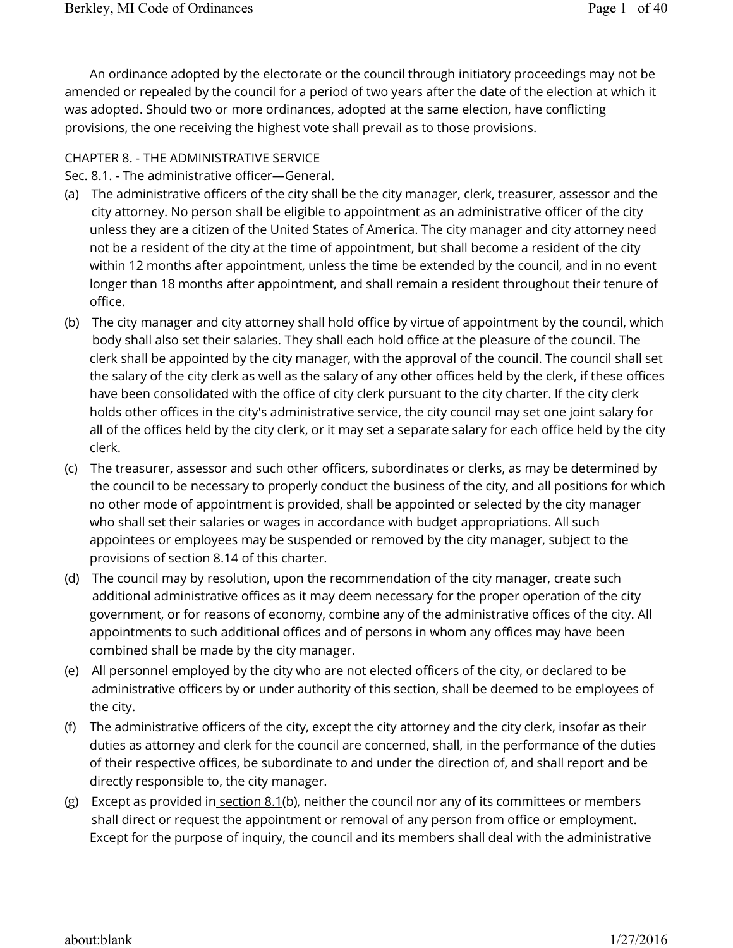An ordinance adopted by the electorate or the council through initiatory proceedings may not be amended or repealed by the council for a period of two years after the date of the election at which it was adopted. Should two or more ordinances, adopted at the same election, have conflicting provisions, the one receiving the highest vote shall prevail as to those provisions.

#### CHAPTER 8. - THE ADMINISTRATIVE SERVICE

Sec. 8.1. - The administrative officer—General.

- (a) The administrative officers of the city shall be the city manager, clerk, treasurer, assessor and the city attorney. No person shall be eligible to appointment as an administrative officer of the city unless they are a citizen of the United States of America. The city manager and city attorney need not be a resident of the city at the time of appointment, but shall become a resident of the city within 12 months after appointment, unless the time be extended by the council, and in no event longer than 18 months after appointment, and shall remain a resident throughout their tenure of office.
- (b) The city manager and city attorney shall hold office by virtue of appointment by the council, which body shall also set their salaries. They shall each hold office at the pleasure of the council. The clerk shall be appointed by the city manager, with the approval of the council. The council shall set the salary of the city clerk as well as the salary of any other offices held by the clerk, if these offices have been consolidated with the office of city clerk pursuant to the city charter. If the city clerk holds other offices in the city's administrative service, the city council may set one joint salary for all of the offices held by the city clerk, or it may set a separate salary for each office held by the city clerk.
- (c) The treasurer, assessor and such other officers, subordinates or clerks, as may be determined by the council to be necessary to properly conduct the business of the city, and all positions for which no other mode of appointment is provided, shall be appointed or selected by the city manager who shall set their salaries or wages in accordance with budget appropriations. All such appointees or employees may be suspended or removed by the city manager, subject to the provisions of section 8.14 of this charter.
- (d) The council may by resolution, upon the recommendation of the city manager, create such additional administrative offices as it may deem necessary for the proper operation of the city government, or for reasons of economy, combine any of the administrative offices of the city. All appointments to such additional offices and of persons in whom any offices may have been combined shall be made by the city manager.
- (e) All personnel employed by the city who are not elected officers of the city, or declared to be administrative officers by or under authority of this section, shall be deemed to be employees of the city.
- (f) The administrative officers of the city, except the city attorney and the city clerk, insofar as their duties as attorney and clerk for the council are concerned, shall, in the performance of the duties of their respective offices, be subordinate to and under the direction of, and shall report and be directly responsible to, the city manager.
- (g) Except as provided in <u>section 8.1</u>(b), neither the council nor any of its committees or members shall direct or request the appointment or removal of any person from office or employment. Except for the purpose of inquiry, the council and its members shall deal with the administrative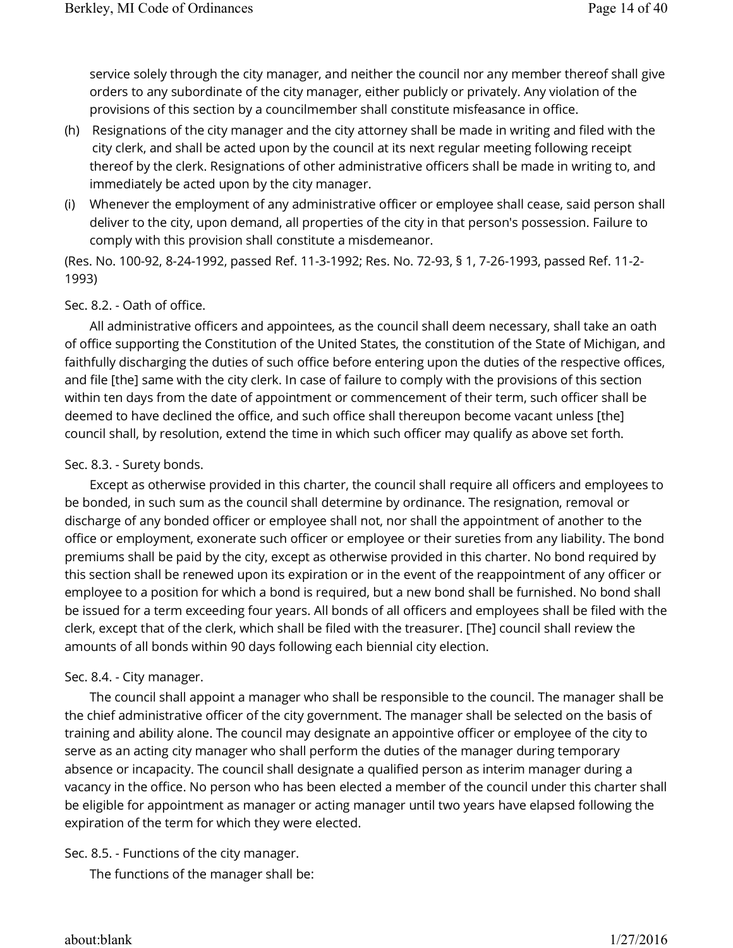service solely through the city manager, and neither the council nor any member thereof shall give orders to any subordinate of the city manager, either publicly or privately. Any violation of the provisions of this section by a councilmember shall constitute misfeasance in office.

- (h) Resignations of the city manager and the city attorney shall be made in writing and filed with the city clerk, and shall be acted upon by the council at its next regular meeting following receipt thereof by the clerk. Resignations of other administrative officers shall be made in writing to, and immediately be acted upon by the city manager.
- (i) Whenever the employment of any administrative officer or employee shall cease, said person shall deliver to the city, upon demand, all properties of the city in that person's possession. Failure to comply with this provision shall constitute a misdemeanor.

(Res. No. 100-92, 8-24-1992, passed Ref. 11-3-1992; Res. No. 72-93, § 1, 7-26-1993, passed Ref. 11-2- 1993)

# Sec. 8.2. - Oath of office.

All administrative officers and appointees, as the council shall deem necessary, shall take an oath of office supporting the Constitution of the United States, the constitution of the State of Michigan, and faithfully discharging the duties of such office before entering upon the duties of the respective offices, and file [the] same with the city clerk. In case of failure to comply with the provisions of this section within ten days from the date of appointment or commencement of their term, such officer shall be deemed to have declined the office, and such office shall thereupon become vacant unless [the] council shall, by resolution, extend the time in which such officer may qualify as above set forth.

## Sec. 8.3. - Surety bonds.

Except as otherwise provided in this charter, the council shall require all officers and employees to be bonded, in such sum as the council shall determine by ordinance. The resignation, removal or discharge of any bonded officer or employee shall not, nor shall the appointment of another to the office or employment, exonerate such officer or employee or their sureties from any liability. The bond premiums shall be paid by the city, except as otherwise provided in this charter. No bond required by this section shall be renewed upon its expiration or in the event of the reappointment of any officer or employee to a position for which a bond is required, but a new bond shall be furnished. No bond shall be issued for a term exceeding four years. All bonds of all officers and employees shall be filed with the clerk, except that of the clerk, which shall be filed with the treasurer. [The] council shall review the amounts of all bonds within 90 days following each biennial city election.

## Sec. 8.4. - City manager.

The council shall appoint a manager who shall be responsible to the council. The manager shall be the chief administrative officer of the city government. The manager shall be selected on the basis of training and ability alone. The council may designate an appointive officer or employee of the city to serve as an acting city manager who shall perform the duties of the manager during temporary absence or incapacity. The council shall designate a qualified person as interim manager during a vacancy in the office. No person who has been elected a member of the council under this charter shall be eligible for appointment as manager or acting manager until two years have elapsed following the expiration of the term for which they were elected.

# Sec. 8.5. - Functions of the city manager.

The functions of the manager shall be: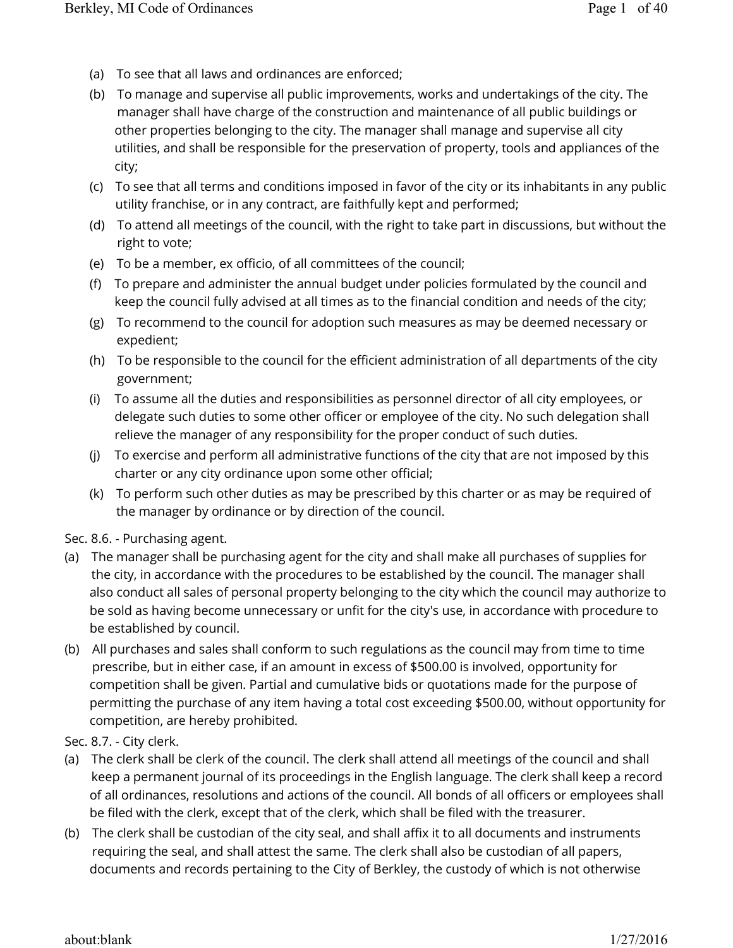- (a) To see that all laws and ordinances are enforced;
- (b) To manage and supervise all public improvements, works and undertakings of the city. The manager shall have charge of the construction and maintenance of all public buildings or other properties belonging to the city. The manager shall manage and supervise all city utilities, and shall be responsible for the preservation of property, tools and appliances of the city;
- (c) To see that all terms and conditions imposed in favor of the city or its inhabitants in any public utility franchise, or in any contract, are faithfully kept and performed;
- (d) To attend all meetings of the council, with the right to take part in discussions, but without the right to vote;
- (e) To be a member, ex officio, of all committees of the council;
- (f) To prepare and administer the annual budget under policies formulated by the council and keep the council fully advised at all times as to the financial condition and needs of the city;
- (g) To recommend to the council for adoption such measures as may be deemed necessary or expedient;
- (h) To be responsible to the council for the efficient administration of all departments of the city government;
- (i) To assume all the duties and responsibilities as personnel director of all city employees, or delegate such duties to some other officer or employee of the city. No such delegation shall relieve the manager of any responsibility for the proper conduct of such duties.
- (j) To exercise and perform all administrative functions of the city that are not imposed by this charter or any city ordinance upon some other official;
- (k) To perform such other duties as may be prescribed by this charter or as may be required of the manager by ordinance or by direction of the council.

Sec. 8.6. - Purchasing agent.

- (a) The manager shall be purchasing agent for the city and shall make all purchases of supplies for the city, in accordance with the procedures to be established by the council. The manager shall also conduct all sales of personal property belonging to the city which the council may authorize to be sold as having become unnecessary or unfit for the city's use, in accordance with procedure to be established by council.
- (b) All purchases and sales shall conform to such regulations as the council may from time to time prescribe, but in either case, if an amount in excess of \$500.00 is involved, opportunity for competition shall be given. Partial and cumulative bids or quotations made for the purpose of permitting the purchase of any item having a total cost exceeding \$500.00, without opportunity for competition, are hereby prohibited.

Sec. 8.7. - City clerk.

- (a) The clerk shall be clerk of the council. The clerk shall attend all meetings of the council and shall keep a permanent journal of its proceedings in the English language. The clerk shall keep a record of all ordinances, resolutions and actions of the council. All bonds of all officers or employees shall be filed with the clerk, except that of the clerk, which shall be filed with the treasurer.
- (b) The clerk shall be custodian of the city seal, and shall affix it to all documents and instruments requiring the seal, and shall attest the same. The clerk shall also be custodian of all papers, documents and records pertaining to the City of Berkley, the custody of which is not otherwise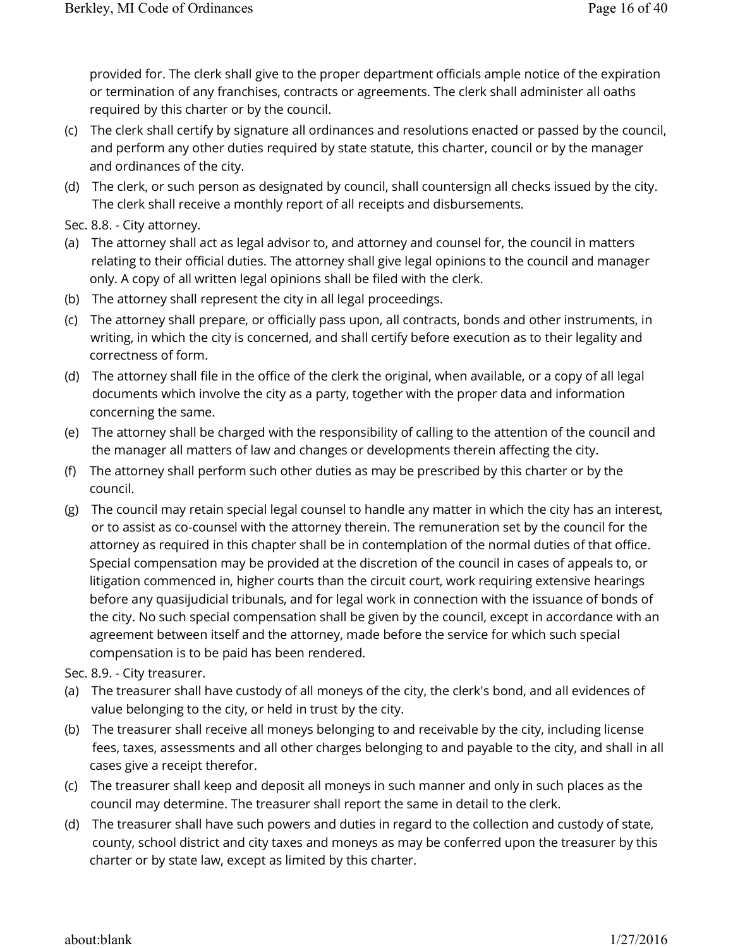provided for. The clerk shall give to the proper department officials ample notice of the expiration or termination of any franchises, contracts or agreements. The clerk shall administer all oaths required by this charter or by the council.

- (c) The clerk shall certify by signature all ordinances and resolutions enacted or passed by the council, and perform any other duties required by state statute, this charter, council or by the manager and ordinances of the city.
- (d) The clerk, or such person as designated by council, shall countersign all checks issued by the city. The clerk shall receive a monthly report of all receipts and disbursements.

Sec. 8.8. - City attorney.

- (a) The attorney shall act as legal advisor to, and attorney and counsel for, the council in matters relating to their official duties. The attorney shall give legal opinions to the council and manager only. A copy of all written legal opinions shall be filed with the clerk.
- (b) The attorney shall represent the city in all legal proceedings.
- (c) The attorney shall prepare, or officially pass upon, all contracts, bonds and other instruments, in writing, in which the city is concerned, and shall certify before execution as to their legality and correctness of form.
- (d) The attorney shall file in the office of the clerk the original, when available, or a copy of all legal documents which involve the city as a party, together with the proper data and information concerning the same.
- (e) The attorney shall be charged with the responsibility of calling to the attention of the council and the manager all matters of law and changes or developments therein affecting the city.
- (f) The attorney shall perform such other duties as may be prescribed by this charter or by the council.
- (g) The council may retain special legal counsel to handle any matter in which the city has an interest, or to assist as co-counsel with the attorney therein. The remuneration set by the council for the attorney as required in this chapter shall be in contemplation of the normal duties of that office. Special compensation may be provided at the discretion of the council in cases of appeals to, or litigation commenced in, higher courts than the circuit court, work requiring extensive hearings before any quasijudicial tribunals, and for legal work in connection with the issuance of bonds of the city. No such special compensation shall be given by the council, except in accordance with an agreement between itself and the attorney, made before the service for which such special compensation is to be paid has been rendered.

Sec. 8.9. - City treasurer.

- (a) The treasurer shall have custody of all moneys of the city, the clerk's bond, and all evidences of value belonging to the city, or held in trust by the city.
- (b) The treasurer shall receive all moneys belonging to and receivable by the city, including license fees, taxes, assessments and all other charges belonging to and payable to the city, and shall in all cases give a receipt therefor.
- (c) The treasurer shall keep and deposit all moneys in such manner and only in such places as the council may determine. The treasurer shall report the same in detail to the clerk.
- (d) The treasurer shall have such powers and duties in regard to the collection and custody of state, county, school district and city taxes and moneys as may be conferred upon the treasurer by this charter or by state law, except as limited by this charter.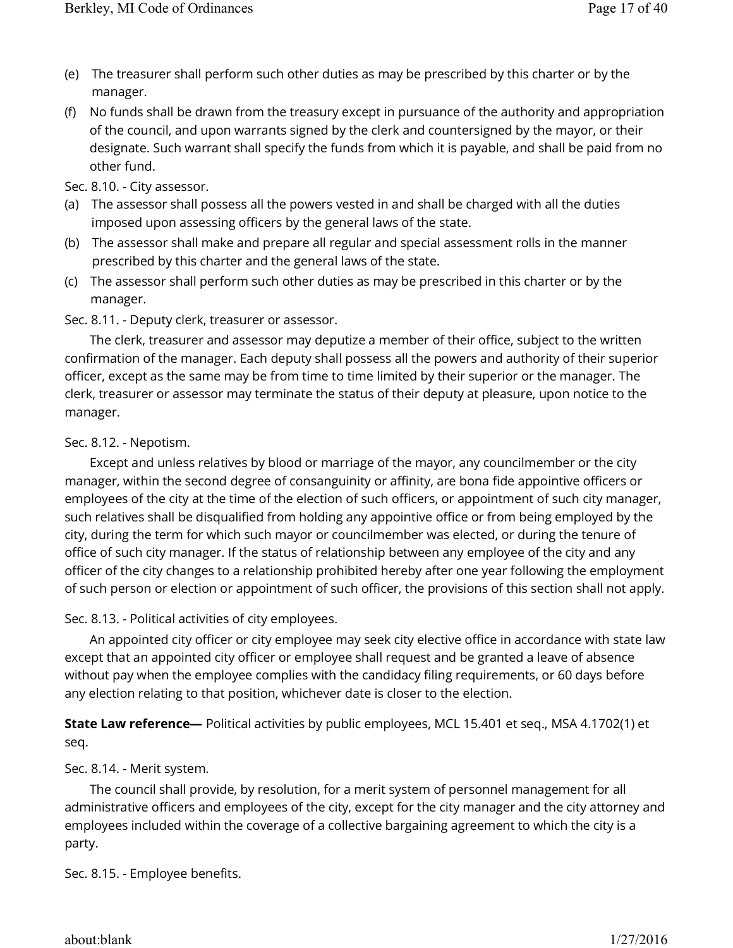- (e) The treasurer shall perform such other duties as may be prescribed by this charter or by the manager.
- (f) No funds shall be drawn from the treasury except in pursuance of the authority and appropriation of the council, and upon warrants signed by the clerk and countersigned by the mayor, or their designate. Such warrant shall specify the funds from which it is payable, and shall be paid from no other fund.

Sec. 8.10. - City assessor.

- (a) The assessor shall possess all the powers vested in and shall be charged with all the duties imposed upon assessing officers by the general laws of the state.
- (b) The assessor shall make and prepare all regular and special assessment rolls in the manner prescribed by this charter and the general laws of the state.
- (c) The assessor shall perform such other duties as may be prescribed in this charter or by the manager.

Sec. 8.11. - Deputy clerk, treasurer or assessor.

The clerk, treasurer and assessor may deputize a member of their office, subject to the written confirmation of the manager. Each deputy shall possess all the powers and authority of their superior officer, except as the same may be from time to time limited by their superior or the manager. The clerk, treasurer or assessor may terminate the status of their deputy at pleasure, upon notice to the manager.

Sec. 8.12. - Nepotism.

Except and unless relatives by blood or marriage of the mayor, any councilmember or the city manager, within the second degree of consanguinity or affinity, are bona fide appointive officers or employees of the city at the time of the election of such officers, or appointment of such city manager, such relatives shall be disqualified from holding any appointive office or from being employed by the city, during the term for which such mayor or councilmember was elected, or during the tenure of office of such city manager. If the status of relationship between any employee of the city and any officer of the city changes to a relationship prohibited hereby after one year following the employment of such person or election or appointment of such officer, the provisions of this section shall not apply.

Sec. 8.13. - Political activities of city employees.

An appointed city officer or city employee may seek city elective office in accordance with state law except that an appointed city officer or employee shall request and be granted a leave of absence without pay when the employee complies with the candidacy filing requirements, or 60 days before any election relating to that position, whichever date is closer to the election.

**State Law reference—** Political activities by public employees, MCL 15.401 et seq., MSA 4.1702(1) et seq.

Sec. 8.14. - Merit system.

The council shall provide, by resolution, for a merit system of personnel management for all administrative officers and employees of the city, except for the city manager and the city attorney and employees included within the coverage of a collective bargaining agreement to which the city is a party.

Sec. 8.15. - Employee benefits.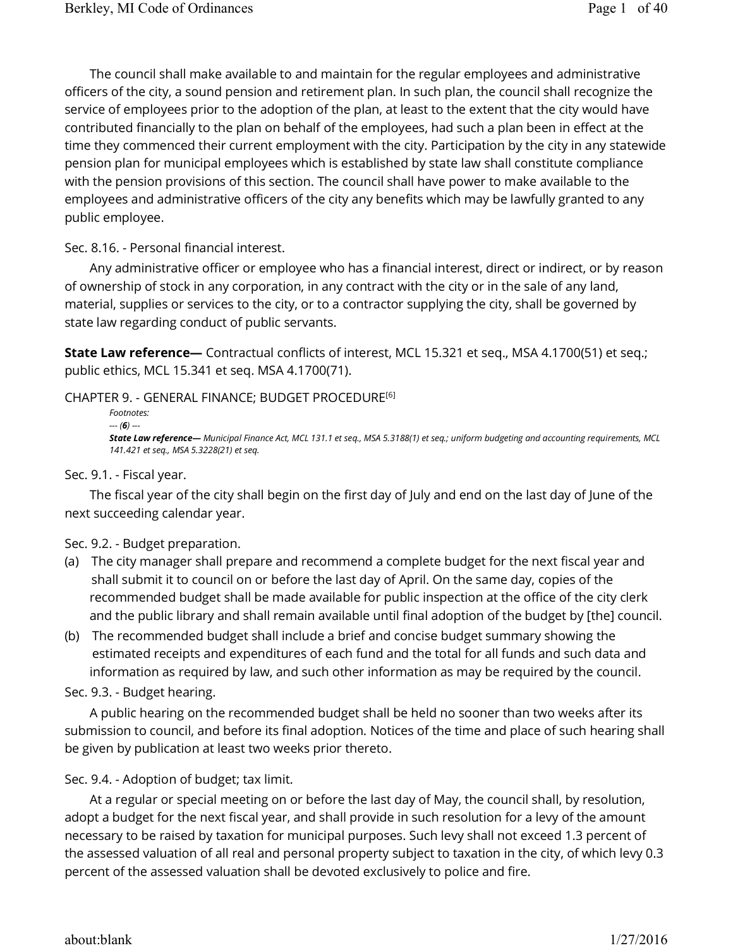The council shall make available to and maintain for the regular employees and administrative officers of the city, a sound pension and retirement plan. In such plan, the council shall recognize the service of employees prior to the adoption of the plan, at least to the extent that the city would have contributed financially to the plan on behalf of the employees, had such a plan been in effect at the time they commenced their current employment with the city. Participation by the city in any statewide pension plan for municipal employees which is established by state law shall constitute compliance with the pension provisions of this section. The council shall have power to make available to the employees and administrative officers of the city any benefits which may be lawfully granted to any public employee.

Sec. 8.16. - Personal financial interest.

Any administrative officer or employee who has a financial interest, direct or indirect, or by reason of ownership of stock in any corporation, in any contract with the city or in the sale of any land, material, supplies or services to the city, or to a contractor supplying the city, shall be governed by state law regarding conduct of public servants.

**State Law reference—** Contractual conflicts of interest, MCL 15.321 et seq., MSA 4.1700(51) et seq.; public ethics, MCL 15.341 et seq. MSA 4.1700(71).

CHAPTER 9. - GENERAL FINANCE; BUDGET PROCEDURE [6]

*Footnotes: --- (6) --- State Law reference— Municipal Finance Act, MCL 131.1 et seq., MSA 5.3188(1) et seq.; uniform budgeting and accounting requirements, MCL 141.421 et seq., MSA 5.3228(21) et seq.*

#### Sec. 9.1. - Fiscal year.

The fiscal year of the city shall begin on the first day of July and end on the last day of June of the next succeeding calendar year.

#### Sec. 9.2. - Budget preparation.

- (a) The city manager shall prepare and recommend a complete budget for the next fiscal year and shall submit it to council on or before the last day of April. On the same day, copies of the recommended budget shall be made available for public inspection at the office of the city clerk and the public library and shall remain available until final adoption of the budget by [the] council.
- (b) The recommended budget shall include a brief and concise budget summary showing the estimated receipts and expenditures of each fund and the total for all funds and such data and information as required by law, and such other information as may be required by the council.

Sec. 9.3. - Budget hearing.

A public hearing on the recommended budget shall be held no sooner than two weeks after its submission to council, and before its final adoption. Notices of the time and place of such hearing shall be given by publication at least two weeks prior thereto.

Sec. 9.4. - Adoption of budget; tax limit.

At a regular or special meeting on or before the last day of May, the council shall, by resolution, adopt a budget for the next fiscal year, and shall provide in such resolution for a levy of the amount necessary to be raised by taxation for municipal purposes. Such levy shall not exceed 1.3 percent of the assessed valuation of all real and personal property subject to taxation in the city, of which levy 0.3 percent of the assessed valuation shall be devoted exclusively to police and fire.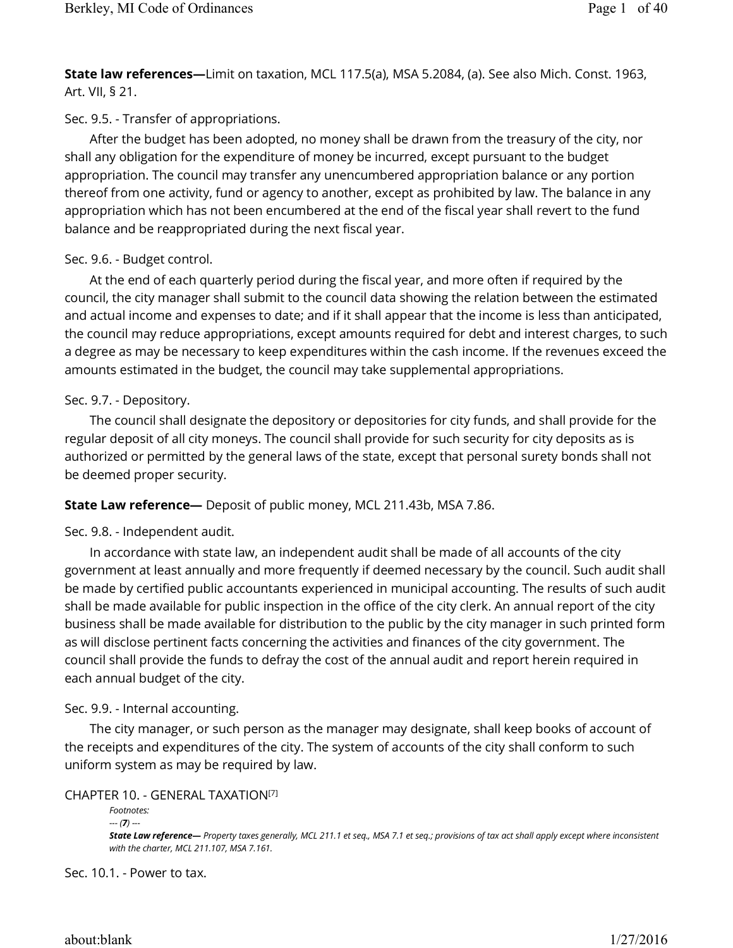**State law references—**Limit on taxation, MCL 117.5(a), MSA 5.2084, (a). See also Mich. Const. 1963, Art. VII, § 21.

Sec. 9.5. - Transfer of appropriations.

After the budget has been adopted, no money shall be drawn from the treasury of the city, nor shall any obligation for the expenditure of money be incurred, except pursuant to the budget appropriation. The council may transfer any unencumbered appropriation balance or any portion thereof from one activity, fund or agency to another, except as prohibited by law. The balance in any appropriation which has not been encumbered at the end of the fiscal year shall revert to the fund balance and be reappropriated during the next fiscal year.

# Sec. 9.6. - Budget control.

At the end of each quarterly period during the fiscal year, and more often if required by the council, the city manager shall submit to the council data showing the relation between the estimated and actual income and expenses to date; and if it shall appear that the income is less than anticipated, the council may reduce appropriations, except amounts required for debt and interest charges, to such a degree as may be necessary to keep expenditures within the cash income. If the revenues exceed the amounts estimated in the budget, the council may take supplemental appropriations.

# Sec. 9.7. - Depository.

The council shall designate the depository or depositories for city funds, and shall provide for the regular deposit of all city moneys. The council shall provide for such security for city deposits as is authorized or permitted by the general laws of the state, except that personal surety bonds shall not be deemed proper security.

**State Law reference—** Deposit of public money, MCL 211.43b, MSA 7.86.

Sec. 9.8. - Independent audit.

In accordance with state law, an independent audit shall be made of all accounts of the city government at least annually and more frequently if deemed necessary by the council. Such audit shall be made by certified public accountants experienced in municipal accounting. The results of such audit shall be made available for public inspection in the office of the city clerk. An annual report of the city business shall be made available for distribution to the public by the city manager in such printed form as will disclose pertinent facts concerning the activities and finances of the city government. The council shall provide the funds to defray the cost of the annual audit and report herein required in each annual budget of the city.

# Sec. 9.9. - Internal accounting.

The city manager, or such person as the manager may designate, shall keep books of account of the receipts and expenditures of the city. The system of accounts of the city shall conform to such uniform system as may be required by law.

CHAPTER 10. - GENERAL TAXATION [7]

```
Footnotes: 
--- (7) ---
State Law reference— Property taxes generally, MCL 211.1 et seq., MSA 7.1 et seq.; provisions of tax act shall apply except where inconsistent 
with the charter, MCL 211.107, MSA 7.161.
```
Sec. 10.1. - Power to tax.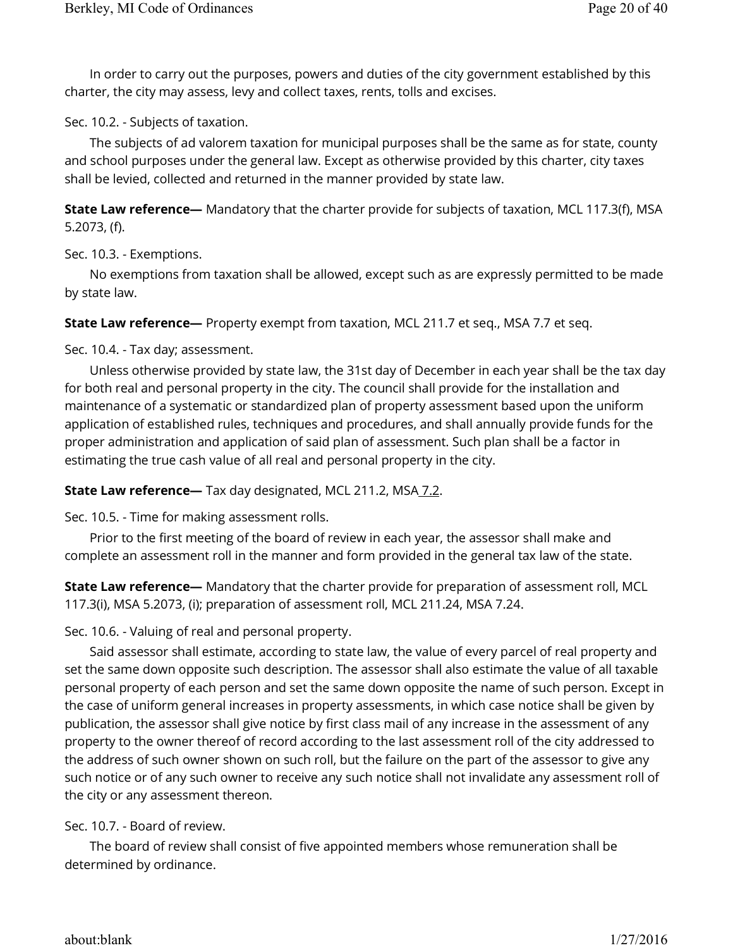In order to carry out the purposes, powers and duties of the city government established by this charter, the city may assess, levy and collect taxes, rents, tolls and excises.

Sec. 10.2. - Subjects of taxation.

The subjects of ad valorem taxation for municipal purposes shall be the same as for state, county and school purposes under the general law. Except as otherwise provided by this charter, city taxes shall be levied, collected and returned in the manner provided by state law.

**State Law reference—** Mandatory that the charter provide for subjects of taxation, MCL 117.3(f), MSA 5.2073, (f).

Sec. 10.3. - Exemptions.

No exemptions from taxation shall be allowed, except such as are expressly permitted to be made by state law.

**State Law reference—** Property exempt from taxation, MCL 211.7 et seq., MSA 7.7 et seq.

Sec. 10.4. - Tax day; assessment.

Unless otherwise provided by state law, the 31st day of December in each year shall be the tax day for both real and personal property in the city. The council shall provide for the installation and maintenance of a systematic or standardized plan of property assessment based upon the uniform application of established rules, techniques and procedures, and shall annually provide funds for the proper administration and application of said plan of assessment. Such plan shall be a factor in estimating the true cash value of all real and personal property in the city.

**State Law reference—** Tax day designated, MCL 211.2, MSA 7.2.

Sec. 10.5. - Time for making assessment rolls.

Prior to the first meeting of the board of review in each year, the assessor shall make and complete an assessment roll in the manner and form provided in the general tax law of the state.

**State Law reference—** Mandatory that the charter provide for preparation of assessment roll, MCL 117.3(i), MSA 5.2073, (i); preparation of assessment roll, MCL 211.24, MSA 7.24.

Sec. 10.6. - Valuing of real and personal property.

Said assessor shall estimate, according to state law, the value of every parcel of real property and set the same down opposite such description. The assessor shall also estimate the value of all taxable personal property of each person and set the same down opposite the name of such person. Except in the case of uniform general increases in property assessments, in which case notice shall be given by publication, the assessor shall give notice by first class mail of any increase in the assessment of any property to the owner thereof of record according to the last assessment roll of the city addressed to the address of such owner shown on such roll, but the failure on the part of the assessor to give any such notice or of any such owner to receive any such notice shall not invalidate any assessment roll of the city or any assessment thereon.

Sec. 10.7. - Board of review.

The board of review shall consist of five appointed members whose remuneration shall be determined by ordinance.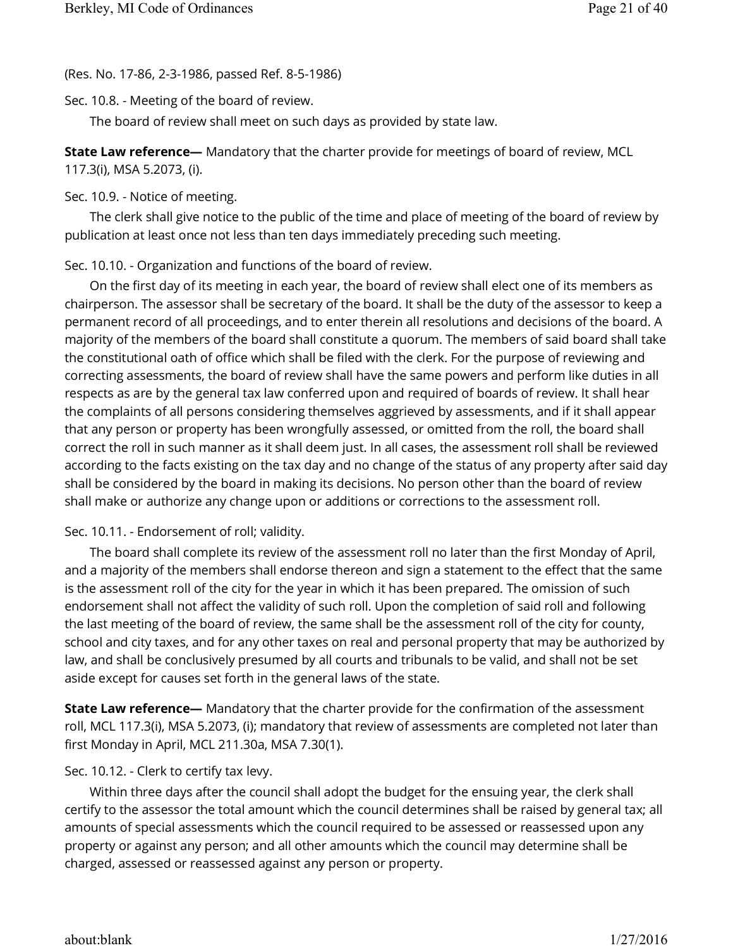(Res. No. 17-86, 2-3-1986, passed Ref. 8-5-1986)

Sec. 10.8. - Meeting of the board of review.

The board of review shall meet on such days as provided by state law.

**State Law reference—** Mandatory that the charter provide for meetings of board of review, MCL 117.3(i), MSA 5.2073, (i).

Sec. 10.9. - Notice of meeting.

The clerk shall give notice to the public of the time and place of meeting of the board of review by publication at least once not less than ten days immediately preceding such meeting.

Sec. 10.10. - Organization and functions of the board of review.

On the first day of its meeting in each year, the board of review shall elect one of its members as chairperson. The assessor shall be secretary of the board. It shall be the duty of the assessor to keep a permanent record of all proceedings, and to enter therein all resolutions and decisions of the board. A majority of the members of the board shall constitute a quorum. The members of said board shall take the constitutional oath of office which shall be filed with the clerk. For the purpose of reviewing and correcting assessments, the board of review shall have the same powers and perform like duties in all respects as are by the general tax law conferred upon and required of boards of review. It shall hear the complaints of all persons considering themselves aggrieved by assessments, and if it shall appear that any person or property has been wrongfully assessed, or omitted from the roll, the board shall correct the roll in such manner as it shall deem just. In all cases, the assessment roll shall be reviewed according to the facts existing on the tax day and no change of the status of any property after said day shall be considered by the board in making its decisions. No person other than the board of review shall make or authorize any change upon or additions or corrections to the assessment roll.

## Sec. 10.11. - Endorsement of roll; validity.

The board shall complete its review of the assessment roll no later than the first Monday of April, and a majority of the members shall endorse thereon and sign a statement to the effect that the same is the assessment roll of the city for the year in which it has been prepared. The omission of such endorsement shall not affect the validity of such roll. Upon the completion of said roll and following the last meeting of the board of review, the same shall be the assessment roll of the city for county, school and city taxes, and for any other taxes on real and personal property that may be authorized by law, and shall be conclusively presumed by all courts and tribunals to be valid, and shall not be set aside except for causes set forth in the general laws of the state.

**State Law reference—** Mandatory that the charter provide for the confirmation of the assessment roll, MCL 117.3(i), MSA 5.2073, (i); mandatory that review of assessments are completed not later than first Monday in April, MCL 211.30a, MSA 7.30(1).

Sec. 10.12. - Clerk to certify tax levy.

Within three days after the council shall adopt the budget for the ensuing year, the clerk shall certify to the assessor the total amount which the council determines shall be raised by general tax; all amounts of special assessments which the council required to be assessed or reassessed upon any property or against any person; and all other amounts which the council may determine shall be charged, assessed or reassessed against any person or property.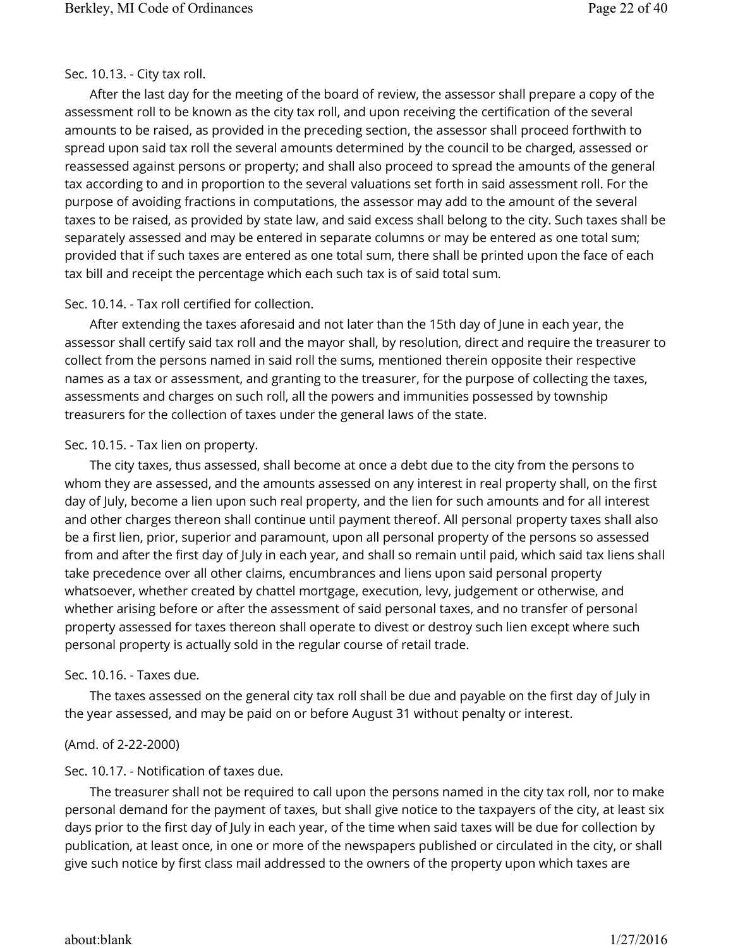## Sec. 10.13. - City tax roll.

After the last day for the meeting of the board of review, the assessor shall prepare a copy of the assessment roll to be known as the city tax roll, and upon receiving the certification of the several amounts to be raised, as provided in the preceding section, the assessor shall proceed forthwith to spread upon said tax roll the several amounts determined by the council to be charged, assessed or reassessed against persons or property; and shall also proceed to spread the amounts of the general tax according to and in proportion to the several valuations set forth in said assessment roll. For the purpose of avoiding fractions in computations, the assessor may add to the amount of the several taxes to be raised, as provided by state law, and said excess shall belong to the city. Such taxes shall be separately assessed and may be entered in separate columns or may be entered as one total sum; provided that if such taxes are entered as one total sum, there shall be printed upon the face of each tax bill and receipt the percentage which each such tax is of said total sum.

## Sec. 10.14. - Tax roll certified for collection.

After extending the taxes aforesaid and not later than the 15th day of June in each year, the assessor shall certify said tax roll and the mayor shall, by resolution, direct and require the treasurer to collect from the persons named in said roll the sums, mentioned therein opposite their respective names as a tax or assessment, and granting to the treasurer, for the purpose of collecting the taxes, assessments and charges on such roll, all the powers and immunities possessed by township treasurers for the collection of taxes under the general laws of the state.

## Sec. 10.15. - Tax lien on property.

The city taxes, thus assessed, shall become at once a debt due to the city from the persons to whom they are assessed, and the amounts assessed on any interest in real property shall, on the first day of July, become a lien upon such real property, and the lien for such amounts and for all interest and other charges thereon shall continue until payment thereof. All personal property taxes shall also be a first lien, prior, superior and paramount, upon all personal property of the persons so assessed from and after the first day of July in each year, and shall so remain until paid, which said tax liens shall take precedence over all other claims, encumbrances and liens upon said personal property whatsoever, whether created by chattel mortgage, execution, levy, judgement or otherwise, and whether arising before or after the assessment of said personal taxes, and no transfer of personal property assessed for taxes thereon shall operate to divest or destroy such lien except where such personal property is actually sold in the regular course of retail trade.

# Sec. 10.16. - Taxes due.

The taxes assessed on the general city tax roll shall be due and payable on the first day of July in the year assessed, and may be paid on or before August 31 without penalty or interest.

# (Amd. of 2-22-2000)

# Sec. 10.17. - Notification of taxes due.

The treasurer shall not be required to call upon the persons named in the city tax roll, nor to make personal demand for the payment of taxes, but shall give notice to the taxpayers of the city, at least six days prior to the first day of July in each year, of the time when said taxes will be due for collection by publication, at least once, in one or more of the newspapers published or circulated in the city, or shall give such notice by first class mail addressed to the owners of the property upon which taxes are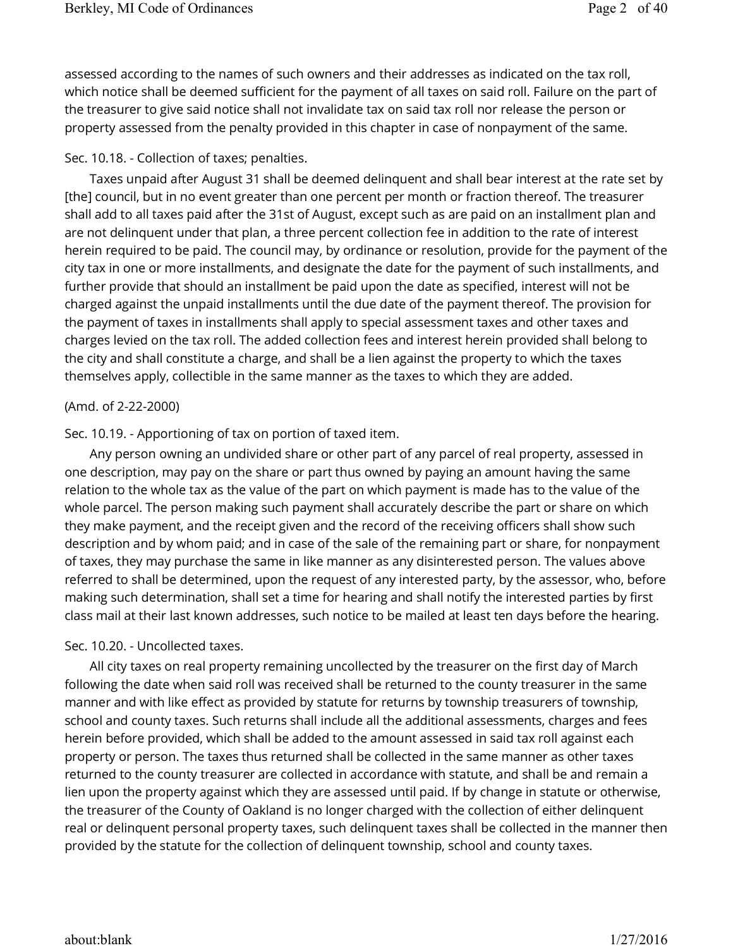assessed according to the names of such owners and their addresses as indicated on the tax roll, which notice shall be deemed sufficient for the payment of all taxes on said roll. Failure on the part of the treasurer to give said notice shall not invalidate tax on said tax roll nor release the person or property assessed from the penalty provided in this chapter in case of nonpayment of the same.

## Sec. 10.18. - Collection of taxes; penalties.

Taxes unpaid after August 31 shall be deemed delinquent and shall bear interest at the rate set by [the] council, but in no event greater than one percent per month or fraction thereof. The treasurer shall add to all taxes paid after the 31st of August, except such as are paid on an installment plan and are not delinquent under that plan, a three percent collection fee in addition to the rate of interest herein required to be paid. The council may, by ordinance or resolution, provide for the payment of the city tax in one or more installments, and designate the date for the payment of such installments, and further provide that should an installment be paid upon the date as specified, interest will not be charged against the unpaid installments until the due date of the payment thereof. The provision for the payment of taxes in installments shall apply to special assessment taxes and other taxes and charges levied on the tax roll. The added collection fees and interest herein provided shall belong to the city and shall constitute a charge, and shall be a lien against the property to which the taxes themselves apply, collectible in the same manner as the taxes to which they are added.

## (Amd. of 2-22-2000)

## Sec. 10.19. - Apportioning of tax on portion of taxed item.

Any person owning an undivided share or other part of any parcel of real property, assessed in one description, may pay on the share or part thus owned by paying an amount having the same relation to the whole tax as the value of the part on which payment is made has to the value of the whole parcel. The person making such payment shall accurately describe the part or share on which they make payment, and the receipt given and the record of the receiving officers shall show such description and by whom paid; and in case of the sale of the remaining part or share, for nonpayment of taxes, they may purchase the same in like manner as any disinterested person. The values above referred to shall be determined, upon the request of any interested party, by the assessor, who, before making such determination, shall set a time for hearing and shall notify the interested parties by first class mail at their last known addresses, such notice to be mailed at least ten days before the hearing.

## Sec. 10.20. - Uncollected taxes.

All city taxes on real property remaining uncollected by the treasurer on the first day of March following the date when said roll was received shall be returned to the county treasurer in the same manner and with like effect as provided by statute for returns by township treasurers of township, school and county taxes. Such returns shall include all the additional assessments, charges and fees herein before provided, which shall be added to the amount assessed in said tax roll against each property or person. The taxes thus returned shall be collected in the same manner as other taxes returned to the county treasurer are collected in accordance with statute, and shall be and remain a lien upon the property against which they are assessed until paid. If by change in statute or otherwise, the treasurer of the County of Oakland is no longer charged with the collection of either delinquent real or delinquent personal property taxes, such delinquent taxes shall be collected in the manner then provided by the statute for the collection of delinquent township, school and county taxes.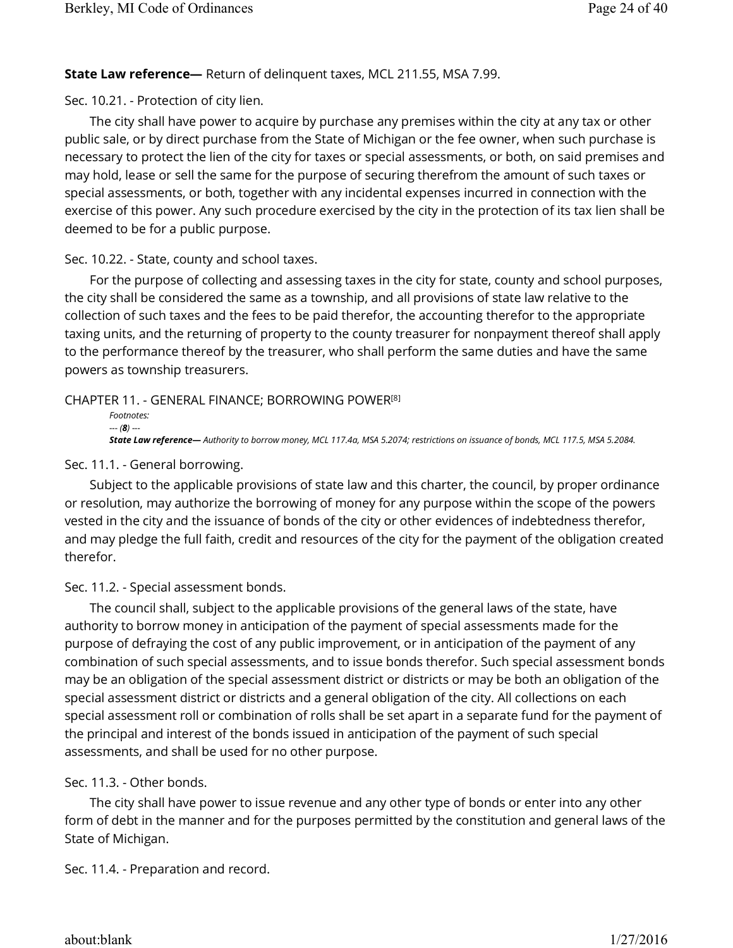# **State Law reference—** Return of delinquent taxes, MCL 211.55, MSA 7.99.

Sec. 10.21. - Protection of city lien.

The city shall have power to acquire by purchase any premises within the city at any tax or other public sale, or by direct purchase from the State of Michigan or the fee owner, when such purchase is necessary to protect the lien of the city for taxes or special assessments, or both, on said premises and may hold, lease or sell the same for the purpose of securing therefrom the amount of such taxes or special assessments, or both, together with any incidental expenses incurred in connection with the exercise of this power. Any such procedure exercised by the city in the protection of its tax lien shall be deemed to be for a public purpose.

Sec. 10.22. - State, county and school taxes.

For the purpose of collecting and assessing taxes in the city for state, county and school purposes, the city shall be considered the same as a township, and all provisions of state law relative to the collection of such taxes and the fees to be paid therefor, the accounting therefor to the appropriate taxing units, and the returning of property to the county treasurer for nonpayment thereof shall apply to the performance thereof by the treasurer, who shall perform the same duties and have the same powers as township treasurers.

CHAPTER 11. - GENERAL FINANCE; BORROWING POWER [8]

```
Footnotes: 
--- (8) ---
State Law reference— Authority to borrow money, MCL 117.4a, MSA 5.2074; restrictions on issuance of bonds, MCL 117.5, MSA 5.2084.
```
# Sec. 11.1. - General borrowing.

Subject to the applicable provisions of state law and this charter, the council, by proper ordinance or resolution, may authorize the borrowing of money for any purpose within the scope of the powers vested in the city and the issuance of bonds of the city or other evidences of indebtedness therefor, and may pledge the full faith, credit and resources of the city for the payment of the obligation created therefor.

Sec. 11.2. - Special assessment bonds.

The council shall, subject to the applicable provisions of the general laws of the state, have authority to borrow money in anticipation of the payment of special assessments made for the purpose of defraying the cost of any public improvement, or in anticipation of the payment of any combination of such special assessments, and to issue bonds therefor. Such special assessment bonds may be an obligation of the special assessment district or districts or may be both an obligation of the special assessment district or districts and a general obligation of the city. All collections on each special assessment roll or combination of rolls shall be set apart in a separate fund for the payment of the principal and interest of the bonds issued in anticipation of the payment of such special assessments, and shall be used for no other purpose.

Sec. 11.3. - Other bonds.

The city shall have power to issue revenue and any other type of bonds or enter into any other form of debt in the manner and for the purposes permitted by the constitution and general laws of the State of Michigan.

Sec. 11.4. - Preparation and record.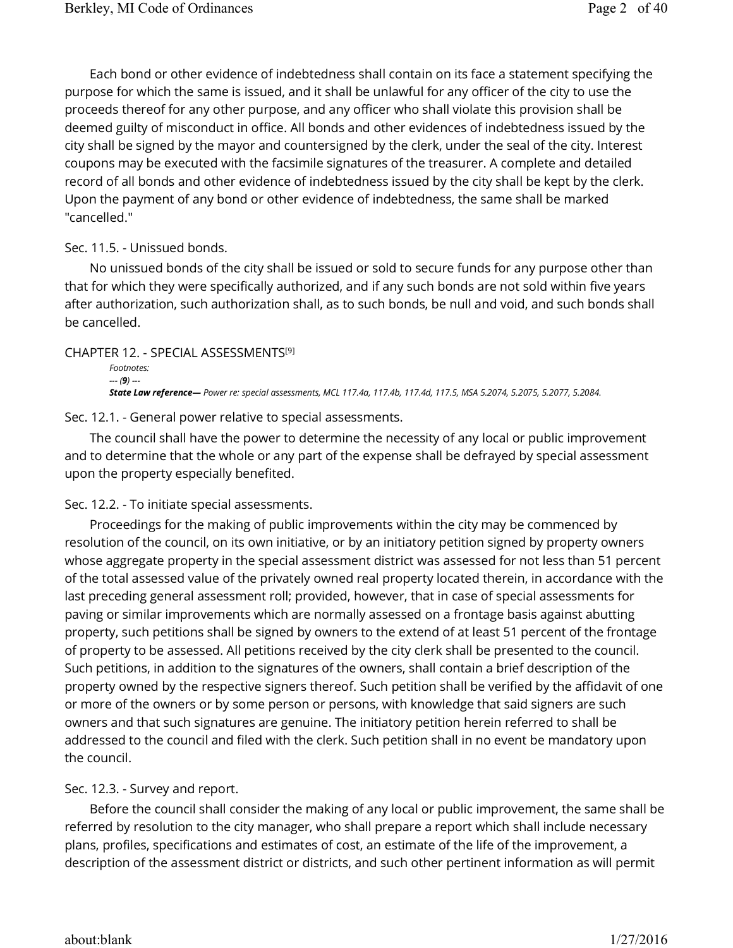Each bond or other evidence of indebtedness shall contain on its face a statement specifying the purpose for which the same is issued, and it shall be unlawful for any officer of the city to use the proceeds thereof for any other purpose, and any officer who shall violate this provision shall be deemed guilty of misconduct in office. All bonds and other evidences of indebtedness issued by the city shall be signed by the mayor and countersigned by the clerk, under the seal of the city. Interest coupons may be executed with the facsimile signatures of the treasurer. A complete and detailed record of all bonds and other evidence of indebtedness issued by the city shall be kept by the clerk. Upon the payment of any bond or other evidence of indebtedness, the same shall be marked "cancelled."

## Sec. 11.5. - Unissued bonds.

No unissued bonds of the city shall be issued or sold to secure funds for any purpose other than that for which they were specifically authorized, and if any such bonds are not sold within five years after authorization, such authorization shall, as to such bonds, be null and void, and such bonds shall be cancelled.

CHAPTER 12. - SPECIAL ASSESSMENTS [9] *Footnotes: --- (9) --- State Law reference— Power re: special assessments, MCL 117.4a, 117.4b, 117.4d, 117.5, MSA 5.2074, 5.2075, 5.2077, 5.2084.*

Sec. 12.1. - General power relative to special assessments.

The council shall have the power to determine the necessity of any local or public improvement and to determine that the whole or any part of the expense shall be defrayed by special assessment upon the property especially benefited.

#### Sec. 12.2. - To initiate special assessments.

Proceedings for the making of public improvements within the city may be commenced by resolution of the council, on its own initiative, or by an initiatory petition signed by property owners whose aggregate property in the special assessment district was assessed for not less than 51 percent of the total assessed value of the privately owned real property located therein, in accordance with the last preceding general assessment roll; provided, however, that in case of special assessments for paving or similar improvements which are normally assessed on a frontage basis against abutting property, such petitions shall be signed by owners to the extend of at least 51 percent of the frontage of property to be assessed. All petitions received by the city clerk shall be presented to the council. Such petitions, in addition to the signatures of the owners, shall contain a brief description of the property owned by the respective signers thereof. Such petition shall be verified by the affidavit of one or more of the owners or by some person or persons, with knowledge that said signers are such owners and that such signatures are genuine. The initiatory petition herein referred to shall be addressed to the council and filed with the clerk. Such petition shall in no event be mandatory upon the council.

## Sec. 12.3. - Survey and report.

Before the council shall consider the making of any local or public improvement, the same shall be referred by resolution to the city manager, who shall prepare a report which shall include necessary plans, profiles, specifications and estimates of cost, an estimate of the life of the improvement, a description of the assessment district or districts, and such other pertinent information as will permit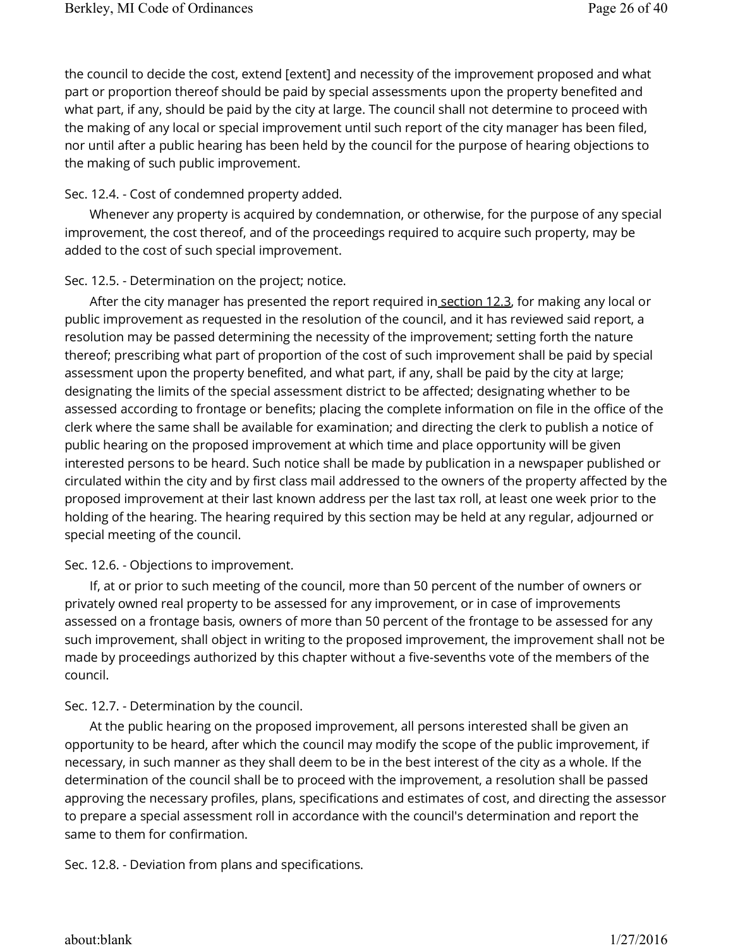the council to decide the cost, extend [extent] and necessity of the improvement proposed and what part or proportion thereof should be paid by special assessments upon the property benefited and what part, if any, should be paid by the city at large. The council shall not determine to proceed with the making of any local or special improvement until such report of the city manager has been filed, nor until after a public hearing has been held by the council for the purpose of hearing objections to the making of such public improvement.

## Sec. 12.4. - Cost of condemned property added.

Whenever any property is acquired by condemnation, or otherwise, for the purpose of any special improvement, the cost thereof, and of the proceedings required to acquire such property, may be added to the cost of such special improvement.

## Sec. 12.5. - Determination on the project; notice.

After the city manager has presented the report required in section 12.3, for making any local or public improvement as requested in the resolution of the council, and it has reviewed said report, a resolution may be passed determining the necessity of the improvement; setting forth the nature thereof; prescribing what part of proportion of the cost of such improvement shall be paid by special assessment upon the property benefited, and what part, if any, shall be paid by the city at large; designating the limits of the special assessment district to be affected; designating whether to be assessed according to frontage or benefits; placing the complete information on file in the office of the clerk where the same shall be available for examination; and directing the clerk to publish a notice of public hearing on the proposed improvement at which time and place opportunity will be given interested persons to be heard. Such notice shall be made by publication in a newspaper published or circulated within the city and by first class mail addressed to the owners of the property affected by the proposed improvement at their last known address per the last tax roll, at least one week prior to the holding of the hearing. The hearing required by this section may be held at any regular, adjourned or special meeting of the council.

# Sec. 12.6. - Objections to improvement.

If, at or prior to such meeting of the council, more than 50 percent of the number of owners or privately owned real property to be assessed for any improvement, or in case of improvements assessed on a frontage basis, owners of more than 50 percent of the frontage to be assessed for any such improvement, shall object in writing to the proposed improvement, the improvement shall not be made by proceedings authorized by this chapter without a five-sevenths vote of the members of the council.

## Sec. 12.7. - Determination by the council.

At the public hearing on the proposed improvement, all persons interested shall be given an opportunity to be heard, after which the council may modify the scope of the public improvement, if necessary, in such manner as they shall deem to be in the best interest of the city as a whole. If the determination of the council shall be to proceed with the improvement, a resolution shall be passed approving the necessary profiles, plans, specifications and estimates of cost, and directing the assessor to prepare a special assessment roll in accordance with the council's determination and report the same to them for confirmation.

Sec. 12.8. - Deviation from plans and specifications.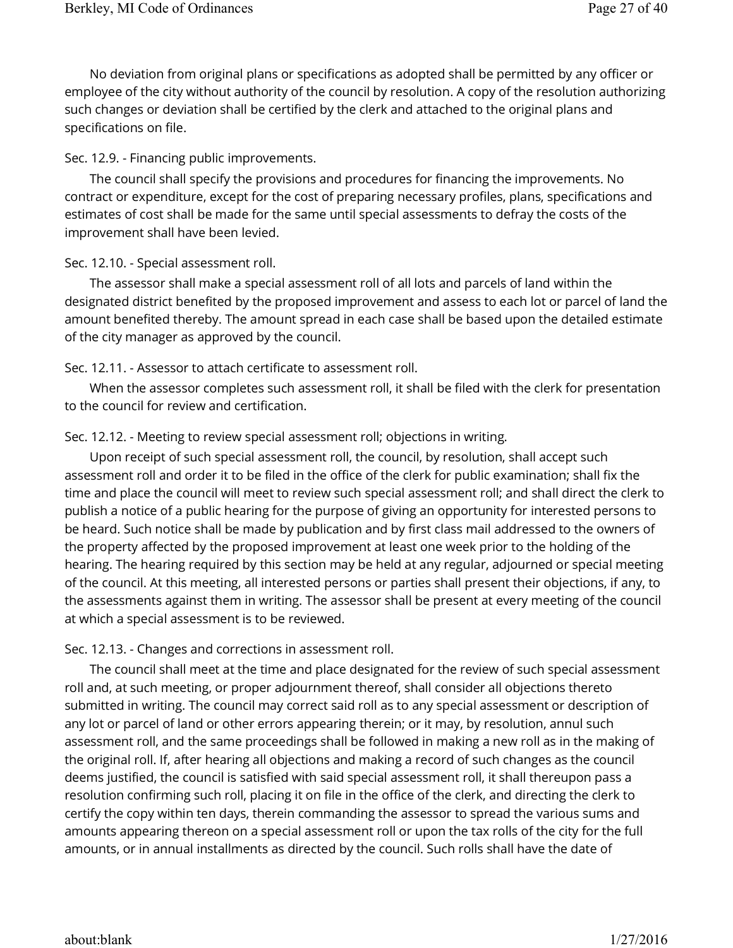No deviation from original plans or specifications as adopted shall be permitted by any officer or employee of the city without authority of the council by resolution. A copy of the resolution authorizing such changes or deviation shall be certified by the clerk and attached to the original plans and specifications on file.

## Sec. 12.9. - Financing public improvements.

The council shall specify the provisions and procedures for financing the improvements. No contract or expenditure, except for the cost of preparing necessary profiles, plans, specifications and estimates of cost shall be made for the same until special assessments to defray the costs of the improvement shall have been levied.

## Sec. 12.10. - Special assessment roll.

The assessor shall make a special assessment roll of all lots and parcels of land within the designated district benefited by the proposed improvement and assess to each lot or parcel of land the amount benefited thereby. The amount spread in each case shall be based upon the detailed estimate of the city manager as approved by the council.

## Sec. 12.11. - Assessor to attach certificate to assessment roll.

When the assessor completes such assessment roll, it shall be filed with the clerk for presentation to the council for review and certification.

## Sec. 12.12. - Meeting to review special assessment roll; objections in writing.

Upon receipt of such special assessment roll, the council, by resolution, shall accept such assessment roll and order it to be filed in the office of the clerk for public examination; shall fix the time and place the council will meet to review such special assessment roll; and shall direct the clerk to publish a notice of a public hearing for the purpose of giving an opportunity for interested persons to be heard. Such notice shall be made by publication and by first class mail addressed to the owners of the property affected by the proposed improvement at least one week prior to the holding of the hearing. The hearing required by this section may be held at any regular, adjourned or special meeting of the council. At this meeting, all interested persons or parties shall present their objections, if any, to the assessments against them in writing. The assessor shall be present at every meeting of the council at which a special assessment is to be reviewed.

## Sec. 12.13. - Changes and corrections in assessment roll.

The council shall meet at the time and place designated for the review of such special assessment roll and, at such meeting, or proper adjournment thereof, shall consider all objections thereto submitted in writing. The council may correct said roll as to any special assessment or description of any lot or parcel of land or other errors appearing therein; or it may, by resolution, annul such assessment roll, and the same proceedings shall be followed in making a new roll as in the making of the original roll. If, after hearing all objections and making a record of such changes as the council deems justified, the council is satisfied with said special assessment roll, it shall thereupon pass a resolution confirming such roll, placing it on file in the office of the clerk, and directing the clerk to certify the copy within ten days, therein commanding the assessor to spread the various sums and amounts appearing thereon on a special assessment roll or upon the tax rolls of the city for the full amounts, or in annual installments as directed by the council. Such rolls shall have the date of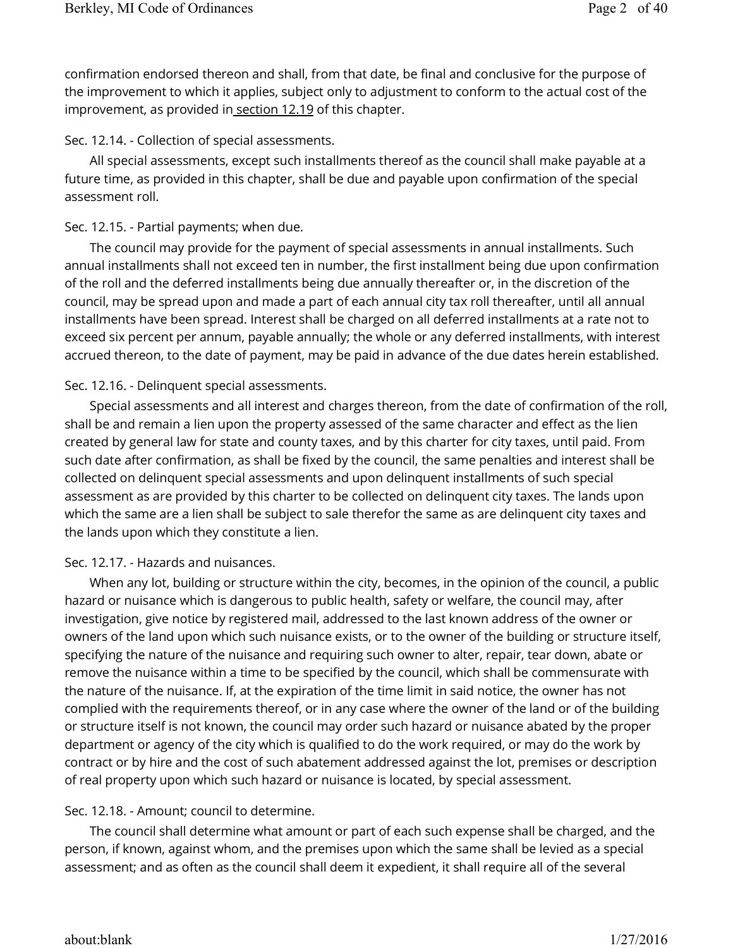confirmation endorsed thereon and shall, from that date, be final and conclusive for the purpose of the improvement to which it applies, subject only to adjustment to conform to the actual cost of the improvement, as provided in section 12.19 of this chapter.

Sec. 12.14. - Collection of special assessments.

All special assessments, except such installments thereof as the council shall make payable at a future time, as provided in this chapter, shall be due and payable upon confirmation of the special assessment roll.

## Sec. 12.15. - Partial payments; when due.

The council may provide for the payment of special assessments in annual installments. Such annual installments shall not exceed ten in number, the first installment being due upon confirmation of the roll and the deferred installments being due annually thereafter or, in the discretion of the council, may be spread upon and made a part of each annual city tax roll thereafter, until all annual installments have been spread. Interest shall be charged on all deferred installments at a rate not to exceed six percent per annum, payable annually; the whole or any deferred installments, with interest accrued thereon, to the date of payment, may be paid in advance of the due dates herein established.

## Sec. 12.16. - Delinquent special assessments.

Special assessments and all interest and charges thereon, from the date of confirmation of the roll, shall be and remain a lien upon the property assessed of the same character and effect as the lien created by general law for state and county taxes, and by this charter for city taxes, until paid. From such date after confirmation, as shall be fixed by the council, the same penalties and interest shall be collected on delinquent special assessments and upon delinquent installments of such special assessment as are provided by this charter to be collected on delinquent city taxes. The lands upon which the same are a lien shall be subject to sale therefor the same as are delinquent city taxes and the lands upon which they constitute a lien.

## Sec. 12.17. - Hazards and nuisances.

When any lot, building or structure within the city, becomes, in the opinion of the council, a public hazard or nuisance which is dangerous to public health, safety or welfare, the council may, after investigation, give notice by registered mail, addressed to the last known address of the owner or owners of the land upon which such nuisance exists, or to the owner of the building or structure itself, specifying the nature of the nuisance and requiring such owner to alter, repair, tear down, abate or remove the nuisance within a time to be specified by the council, which shall be commensurate with the nature of the nuisance. If, at the expiration of the time limit in said notice, the owner has not complied with the requirements thereof, or in any case where the owner of the land or of the building or structure itself is not known, the council may order such hazard or nuisance abated by the proper department or agency of the city which is qualified to do the work required, or may do the work by contract or by hire and the cost of such abatement addressed against the lot, premises or description of real property upon which such hazard or nuisance is located, by special assessment.

## Sec. 12.18. - Amount; council to determine.

The council shall determine what amount or part of each such expense shall be charged, and the person, if known, against whom, and the premises upon which the same shall be levied as a special assessment; and as often as the council shall deem it expedient, it shall require all of the several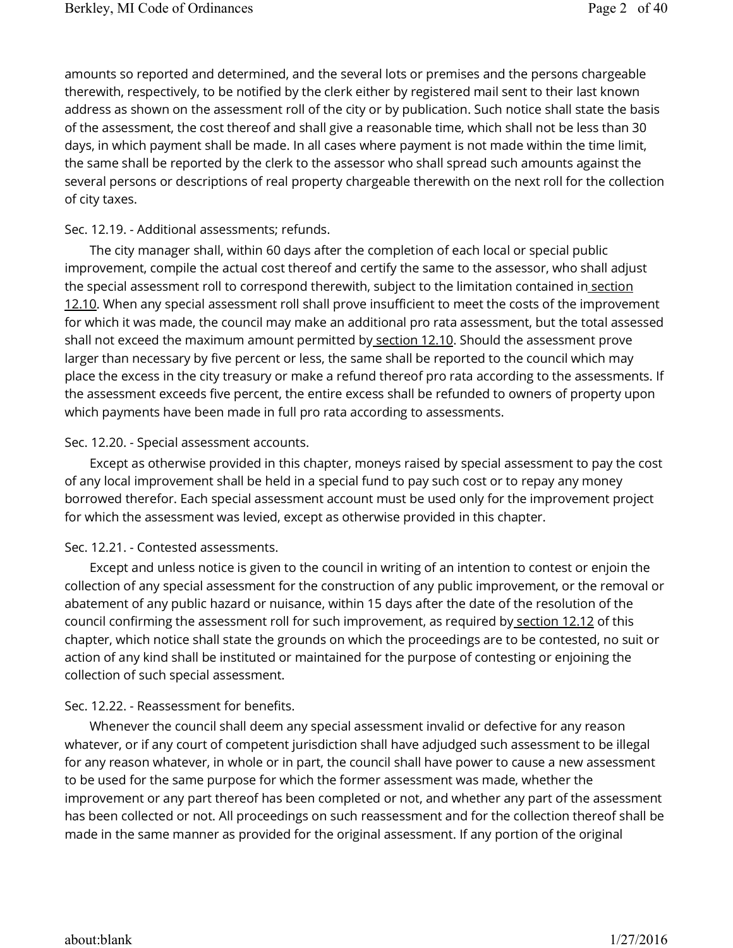amounts so reported and determined, and the several lots or premises and the persons chargeable therewith, respectively, to be notified by the clerk either by registered mail sent to their last known address as shown on the assessment roll of the city or by publication. Such notice shall state the basis of the assessment, the cost thereof and shall give a reasonable time, which shall not be less than 30 days, in which payment shall be made. In all cases where payment is not made within the time limit, the same shall be reported by the clerk to the assessor who shall spread such amounts against the several persons or descriptions of real property chargeable therewith on the next roll for the collection of city taxes.

## Sec. 12.19. - Additional assessments; refunds.

The city manager shall, within 60 days after the completion of each local or special public improvement, compile the actual cost thereof and certify the same to the assessor, who shall adjust the special assessment roll to correspond therewith, subject to the limitation contained in section 12.10. When any special assessment roll shall prove insufficient to meet the costs of the improvement for which it was made, the council may make an additional pro rata assessment, but the total assessed shall not exceed the maximum amount permitted by section 12.10. Should the assessment prove larger than necessary by five percent or less, the same shall be reported to the council which may place the excess in the city treasury or make a refund thereof pro rata according to the assessments. If the assessment exceeds five percent, the entire excess shall be refunded to owners of property upon which payments have been made in full pro rata according to assessments.

#### Sec. 12.20. - Special assessment accounts.

Except as otherwise provided in this chapter, moneys raised by special assessment to pay the cost of any local improvement shall be held in a special fund to pay such cost or to repay any money borrowed therefor. Each special assessment account must be used only for the improvement project for which the assessment was levied, except as otherwise provided in this chapter.

#### Sec. 12.21. - Contested assessments.

Except and unless notice is given to the council in writing of an intention to contest or enjoin the collection of any special assessment for the construction of any public improvement, or the removal or abatement of any public hazard or nuisance, within 15 days after the date of the resolution of the council confirming the assessment roll for such improvement, as required by section 12.12 of this chapter, which notice shall state the grounds on which the proceedings are to be contested, no suit or action of any kind shall be instituted or maintained for the purpose of contesting or enjoining the collection of such special assessment.

## Sec. 12.22. - Reassessment for benefits.

Whenever the council shall deem any special assessment invalid or defective for any reason whatever, or if any court of competent jurisdiction shall have adjudged such assessment to be illegal for any reason whatever, in whole or in part, the council shall have power to cause a new assessment to be used for the same purpose for which the former assessment was made, whether the improvement or any part thereof has been completed or not, and whether any part of the assessment has been collected or not. All proceedings on such reassessment and for the collection thereof shall be made in the same manner as provided for the original assessment. If any portion of the original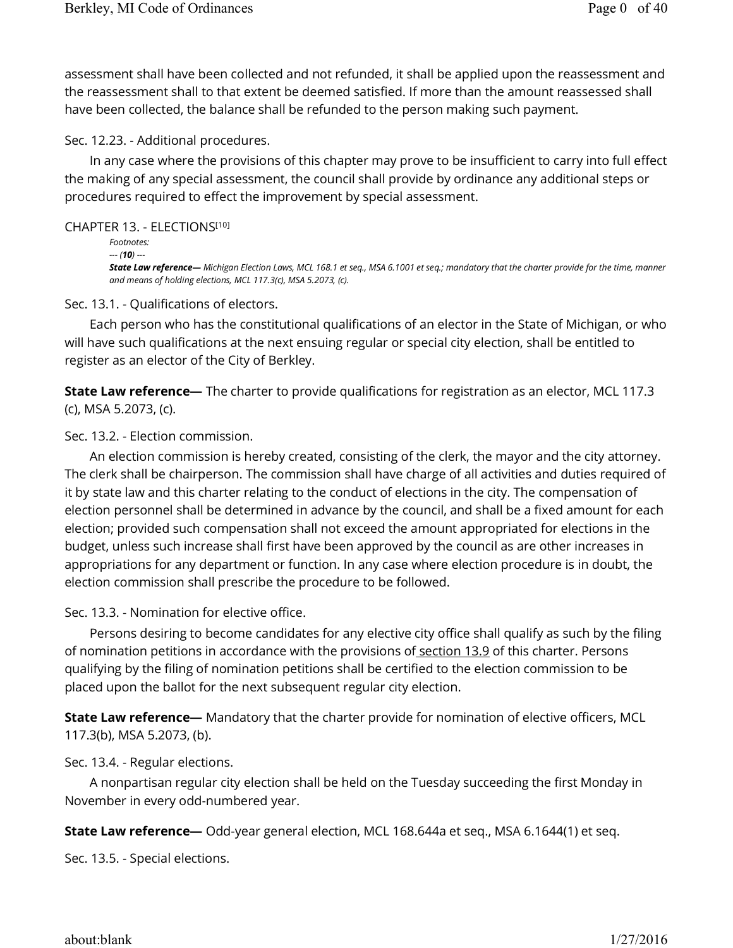assessment shall have been collected and not refunded, it shall be applied upon the reassessment and the reassessment shall to that extent be deemed satisfied. If more than the amount reassessed shall have been collected, the balance shall be refunded to the person making such payment.

Sec. 12.23. - Additional procedures.

In any case where the provisions of this chapter may prove to be insufficient to carry into full effect the making of any special assessment, the council shall provide by ordinance any additional steps or procedures required to effect the improvement by special assessment.

#### CHAPTER 13. - ELECTIONS [10]

```
Footnotes: 
--- (10) ---
State Law reference— Michigan Election Laws, MCL 168.1 et seq., MSA 6.1001 et seq.; mandatory that the charter provide for the time, manner 
and means of holding elections, MCL 117.3(c), MSA 5.2073, (c).
```
Sec. 13.1. - Qualifications of electors.

Each person who has the constitutional qualifications of an elector in the State of Michigan, or who will have such qualifications at the next ensuing regular or special city election, shall be entitled to register as an elector of the City of Berkley.

**State Law reference—** The charter to provide qualifications for registration as an elector, MCL 117.3 (c), MSA 5.2073, (c).

Sec. 13.2. - Election commission.

An election commission is hereby created, consisting of the clerk, the mayor and the city attorney. The clerk shall be chairperson. The commission shall have charge of all activities and duties required of it by state law and this charter relating to the conduct of elections in the city. The compensation of election personnel shall be determined in advance by the council, and shall be a fixed amount for each election; provided such compensation shall not exceed the amount appropriated for elections in the budget, unless such increase shall first have been approved by the council as are other increases in appropriations for any department or function. In any case where election procedure is in doubt, the election commission shall prescribe the procedure to be followed.

Sec. 13.3. - Nomination for elective office.

Persons desiring to become candidates for any elective city office shall qualify as such by the filing of nomination petitions in accordance with the provisions of section 13.9 of this charter. Persons qualifying by the filing of nomination petitions shall be certified to the election commission to be placed upon the ballot for the next subsequent regular city election.

**State Law reference—** Mandatory that the charter provide for nomination of elective officers, MCL 117.3(b), MSA 5.2073, (b).

Sec. 13.4. - Regular elections.

A nonpartisan regular city election shall be held on the Tuesday succeeding the first Monday in November in every odd-numbered year.

**State Law reference—** Odd-year general election, MCL 168.644a et seq., MSA 6.1644(1) et seq.

Sec. 13.5. - Special elections.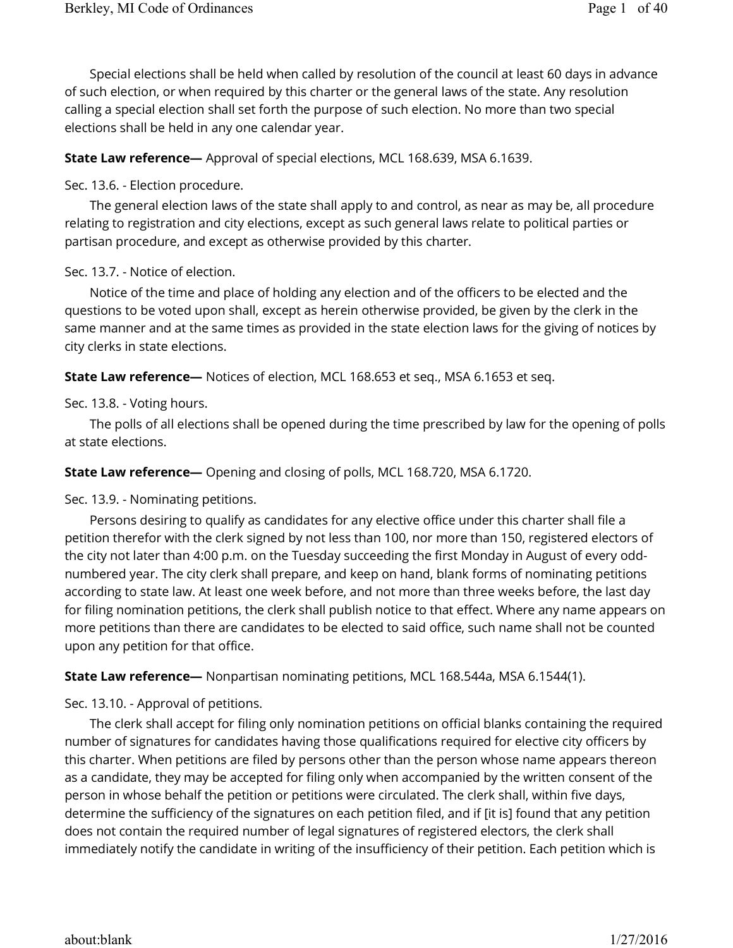Special elections shall be held when called by resolution of the council at least 60 days in advance of such election, or when required by this charter or the general laws of the state. Any resolution calling a special election shall set forth the purpose of such election. No more than two special elections shall be held in any one calendar year.

## **State Law reference—** Approval of special elections, MCL 168.639, MSA 6.1639.

Sec. 13.6. - Election procedure.

The general election laws of the state shall apply to and control, as near as may be, all procedure relating to registration and city elections, except as such general laws relate to political parties or partisan procedure, and except as otherwise provided by this charter.

Sec. 13.7. - Notice of election.

Notice of the time and place of holding any election and of the officers to be elected and the questions to be voted upon shall, except as herein otherwise provided, be given by the clerk in the same manner and at the same times as provided in the state election laws for the giving of notices by city clerks in state elections.

**State Law reference—** Notices of election, MCL 168.653 et seq., MSA 6.1653 et seq.

Sec. 13.8. - Voting hours.

The polls of all elections shall be opened during the time prescribed by law for the opening of polls at state elections.

## **State Law reference—** Opening and closing of polls, MCL 168.720, MSA 6.1720.

Sec. 13.9. - Nominating petitions.

Persons desiring to qualify as candidates for any elective office under this charter shall file a petition therefor with the clerk signed by not less than 100, nor more than 150, registered electors of the city not later than 4:00 p.m. on the Tuesday succeeding the first Monday in August of every oddnumbered year. The city clerk shall prepare, and keep on hand, blank forms of nominating petitions according to state law. At least one week before, and not more than three weeks before, the last day for filing nomination petitions, the clerk shall publish notice to that effect. Where any name appears on more petitions than there are candidates to be elected to said office, such name shall not be counted upon any petition for that office.

**State Law reference—** Nonpartisan nominating petitions, MCL 168.544a, MSA 6.1544(1).

Sec. 13.10. - Approval of petitions.

The clerk shall accept for filing only nomination petitions on official blanks containing the required number of signatures for candidates having those qualifications required for elective city officers by this charter. When petitions are filed by persons other than the person whose name appears thereon as a candidate, they may be accepted for filing only when accompanied by the written consent of the person in whose behalf the petition or petitions were circulated. The clerk shall, within five days, determine the sufficiency of the signatures on each petition filed, and if [it is] found that any petition does not contain the required number of legal signatures of registered electors, the clerk shall immediately notify the candidate in writing of the insufficiency of their petition. Each petition which is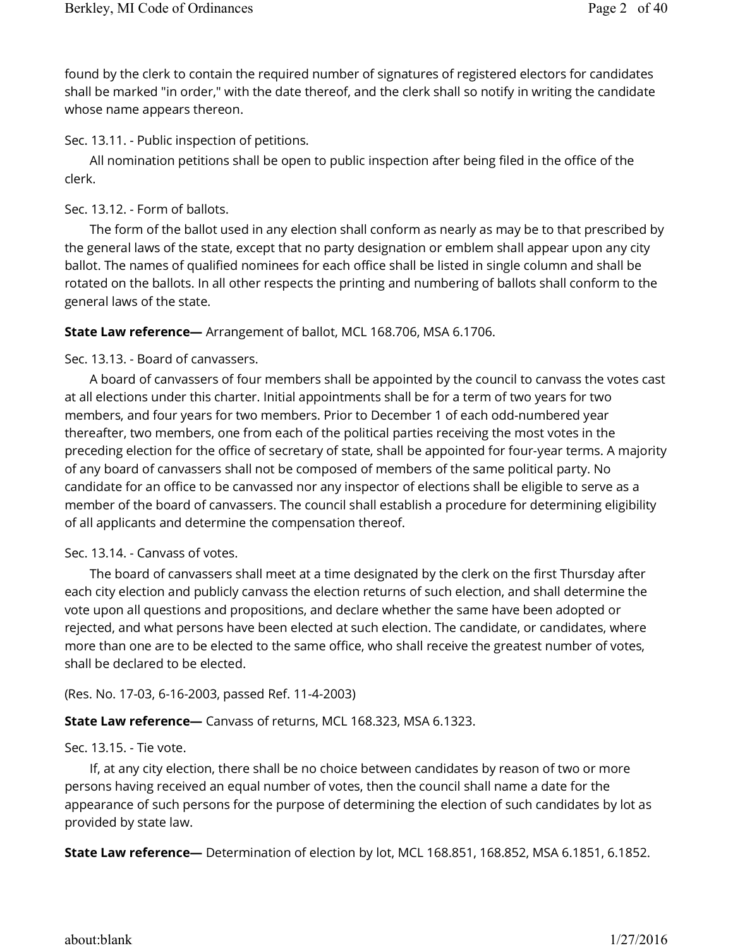found by the clerk to contain the required number of signatures of registered electors for candidates shall be marked "in order," with the date thereof, and the clerk shall so notify in writing the candidate whose name appears thereon.

Sec. 13.11. - Public inspection of petitions.

All nomination petitions shall be open to public inspection after being filed in the office of the clerk.

Sec. 13.12. - Form of ballots.

The form of the ballot used in any election shall conform as nearly as may be to that prescribed by the general laws of the state, except that no party designation or emblem shall appear upon any city ballot. The names of qualified nominees for each office shall be listed in single column and shall be rotated on the ballots. In all other respects the printing and numbering of ballots shall conform to the general laws of the state.

## **State Law reference—** Arrangement of ballot, MCL 168.706, MSA 6.1706.

Sec. 13.13. - Board of canvassers.

A board of canvassers of four members shall be appointed by the council to canvass the votes cast at all elections under this charter. Initial appointments shall be for a term of two years for two members, and four years for two members. Prior to December 1 of each odd-numbered year thereafter, two members, one from each of the political parties receiving the most votes in the preceding election for the office of secretary of state, shall be appointed for four-year terms. A majority of any board of canvassers shall not be composed of members of the same political party. No candidate for an office to be canvassed nor any inspector of elections shall be eligible to serve as a member of the board of canvassers. The council shall establish a procedure for determining eligibility of all applicants and determine the compensation thereof.

## Sec. 13.14. - Canvass of votes.

The board of canvassers shall meet at a time designated by the clerk on the first Thursday after each city election and publicly canvass the election returns of such election, and shall determine the vote upon all questions and propositions, and declare whether the same have been adopted or rejected, and what persons have been elected at such election. The candidate, or candidates, where more than one are to be elected to the same office, who shall receive the greatest number of votes, shall be declared to be elected.

(Res. No. 17-03, 6-16-2003, passed Ref. 11-4-2003)

**State Law reference—** Canvass of returns, MCL 168.323, MSA 6.1323.

## Sec. 13.15. - Tie vote.

If, at any city election, there shall be no choice between candidates by reason of two or more persons having received an equal number of votes, then the council shall name a date for the appearance of such persons for the purpose of determining the election of such candidates by lot as provided by state law.

**State Law reference—** Determination of election by lot, MCL 168.851, 168.852, MSA 6.1851, 6.1852.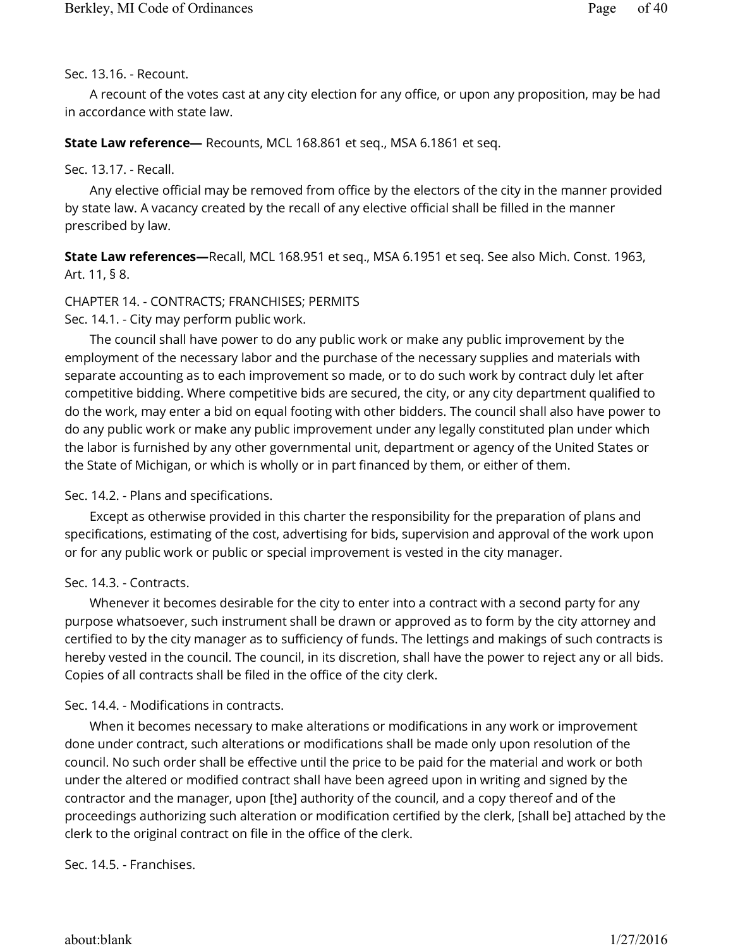## Sec. 13.16. - Recount.

A recount of the votes cast at any city election for any office, or upon any proposition, may be had in accordance with state law.

## **State Law reference—** Recounts, MCL 168.861 et seq., MSA 6.1861 et seq.

Sec. 13.17. - Recall.

Any elective official may be removed from office by the electors of the city in the manner provided by state law. A vacancy created by the recall of any elective official shall be filled in the manner prescribed by law.

**State Law references—**Recall, MCL 168.951 et seq., MSA 6.1951 et seq. See also Mich. Const. 1963, Art. 11, § 8.

# CHAPTER 14. - CONTRACTS; FRANCHISES; PERMITS

Sec. 14.1. - City may perform public work.

The council shall have power to do any public work or make any public improvement by the employment of the necessary labor and the purchase of the necessary supplies and materials with separate accounting as to each improvement so made, or to do such work by contract duly let after competitive bidding. Where competitive bids are secured, the city, or any city department qualified to do the work, may enter a bid on equal footing with other bidders. The council shall also have power to do any public work or make any public improvement under any legally constituted plan under which the labor is furnished by any other governmental unit, department or agency of the United States or the State of Michigan, or which is wholly or in part financed by them, or either of them.

Sec. 14.2. - Plans and specifications.

Except as otherwise provided in this charter the responsibility for the preparation of plans and specifications, estimating of the cost, advertising for bids, supervision and approval of the work upon or for any public work or public or special improvement is vested in the city manager.

## Sec. 14.3. - Contracts.

Whenever it becomes desirable for the city to enter into a contract with a second party for any purpose whatsoever, such instrument shall be drawn or approved as to form by the city attorney and certified to by the city manager as to sufficiency of funds. The lettings and makings of such contracts is hereby vested in the council. The council, in its discretion, shall have the power to reject any or all bids. Copies of all contracts shall be filed in the office of the city clerk.

# Sec. 14.4. - Modifications in contracts.

When it becomes necessary to make alterations or modifications in any work or improvement done under contract, such alterations or modifications shall be made only upon resolution of the council. No such order shall be effective until the price to be paid for the material and work or both under the altered or modified contract shall have been agreed upon in writing and signed by the contractor and the manager, upon [the] authority of the council, and a copy thereof and of the proceedings authorizing such alteration or modification certified by the clerk, [shall be] attached by the clerk to the original contract on file in the office of the clerk.

## Sec. 14.5. - Franchises.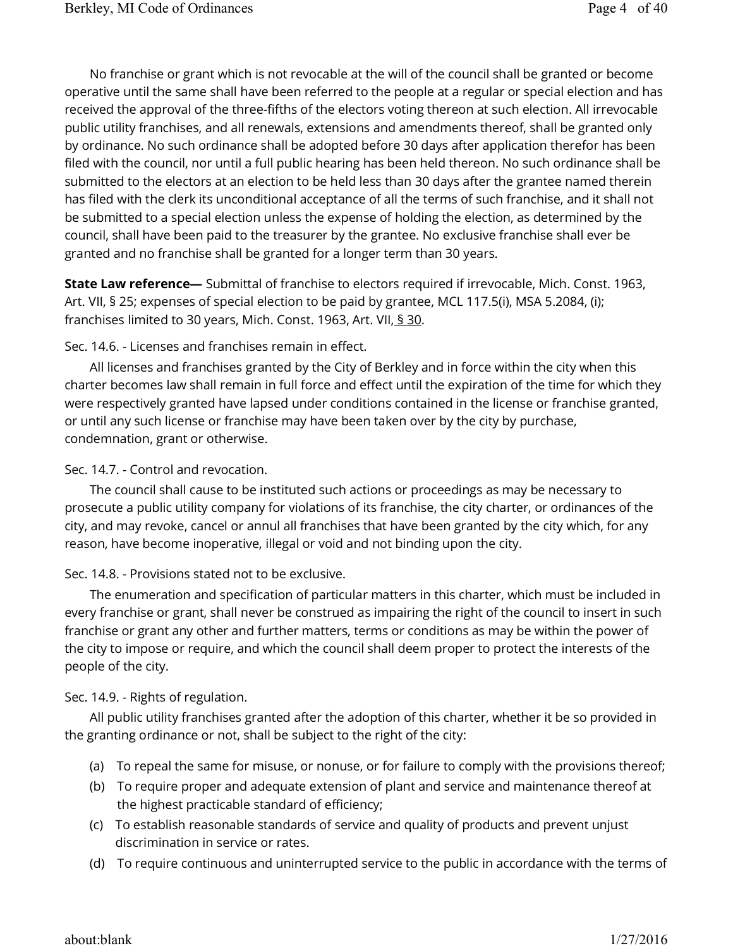No franchise or grant which is not revocable at the will of the council shall be granted or become operative until the same shall have been referred to the people at a regular or special election and has received the approval of the three-fifths of the electors voting thereon at such election. All irrevocable public utility franchises, and all renewals, extensions and amendments thereof, shall be granted only by ordinance. No such ordinance shall be adopted before 30 days after application therefor has been filed with the council, nor until a full public hearing has been held thereon. No such ordinance shall be submitted to the electors at an election to be held less than 30 days after the grantee named therein has filed with the clerk its unconditional acceptance of all the terms of such franchise, and it shall not be submitted to a special election unless the expense of holding the election, as determined by the council, shall have been paid to the treasurer by the grantee. No exclusive franchise shall ever be granted and no franchise shall be granted for a longer term than 30 years.

**State Law reference—** Submittal of franchise to electors required if irrevocable, Mich. Const. 1963, Art. VII, § 25; expenses of special election to be paid by grantee, MCL 117.5(i), MSA 5.2084, (i); franchises limited to 30 years, Mich. Const. 1963, Art. VII, § 30.

## Sec. 14.6. - Licenses and franchises remain in effect.

All licenses and franchises granted by the City of Berkley and in force within the city when this charter becomes law shall remain in full force and effect until the expiration of the time for which they were respectively granted have lapsed under conditions contained in the license or franchise granted, or until any such license or franchise may have been taken over by the city by purchase, condemnation, grant or otherwise.

#### Sec. 14.7. - Control and revocation.

The council shall cause to be instituted such actions or proceedings as may be necessary to prosecute a public utility company for violations of its franchise, the city charter, or ordinances of the city, and may revoke, cancel or annul all franchises that have been granted by the city which, for any reason, have become inoperative, illegal or void and not binding upon the city.

#### Sec. 14.8. - Provisions stated not to be exclusive.

The enumeration and specification of particular matters in this charter, which must be included in every franchise or grant, shall never be construed as impairing the right of the council to insert in such franchise or grant any other and further matters, terms or conditions as may be within the power of the city to impose or require, and which the council shall deem proper to protect the interests of the people of the city.

## Sec. 14.9. - Rights of regulation.

All public utility franchises granted after the adoption of this charter, whether it be so provided in the granting ordinance or not, shall be subject to the right of the city:

- (a) To repeal the same for misuse, or nonuse, or for failure to comply with the provisions thereof;
- (b) To require proper and adequate extension of plant and service and maintenance thereof at the highest practicable standard of efficiency;
- (c) To establish reasonable standards of service and quality of products and prevent unjust discrimination in service or rates.
- (d) To require continuous and uninterrupted service to the public in accordance with the terms of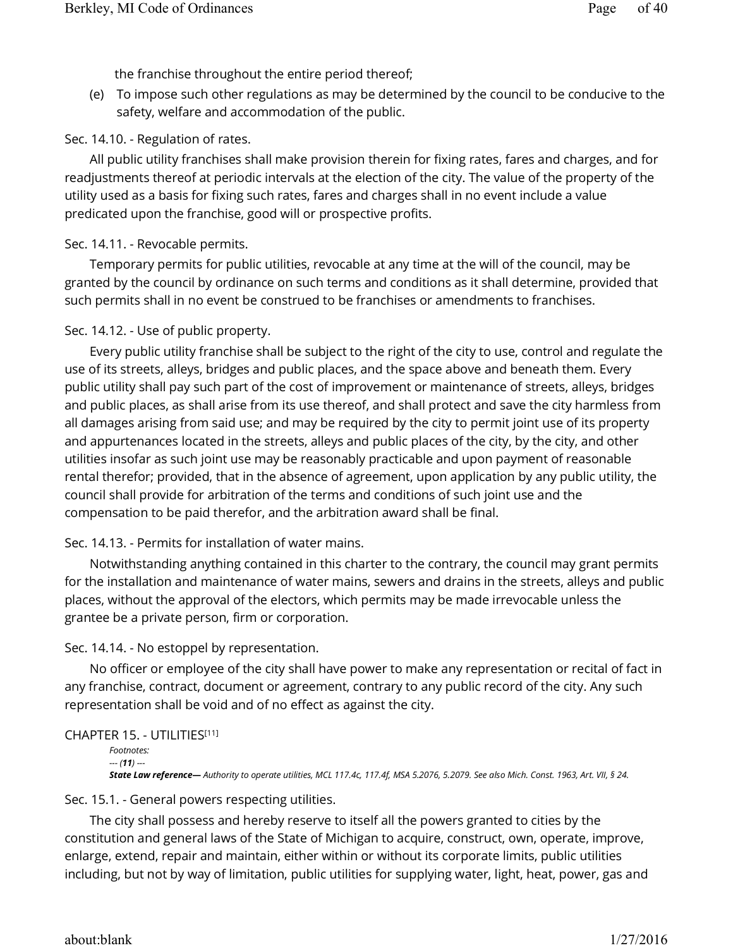the franchise throughout the entire period thereof;

(e) To impose such other regulations as may be determined by the council to be conducive to the safety, welfare and accommodation of the public.

# Sec. 14.10. - Regulation of rates.

All public utility franchises shall make provision therein for fixing rates, fares and charges, and for readjustments thereof at periodic intervals at the election of the city. The value of the property of the utility used as a basis for fixing such rates, fares and charges shall in no event include a value predicated upon the franchise, good will or prospective profits.

# Sec. 14.11. - Revocable permits.

Temporary permits for public utilities, revocable at any time at the will of the council, may be granted by the council by ordinance on such terms and conditions as it shall determine, provided that such permits shall in no event be construed to be franchises or amendments to franchises.

# Sec. 14.12. - Use of public property.

Every public utility franchise shall be subject to the right of the city to use, control and regulate the use of its streets, alleys, bridges and public places, and the space above and beneath them. Every public utility shall pay such part of the cost of improvement or maintenance of streets, alleys, bridges and public places, as shall arise from its use thereof, and shall protect and save the city harmless from all damages arising from said use; and may be required by the city to permit joint use of its property and appurtenances located in the streets, alleys and public places of the city, by the city, and other utilities insofar as such joint use may be reasonably practicable and upon payment of reasonable rental therefor; provided, that in the absence of agreement, upon application by any public utility, the council shall provide for arbitration of the terms and conditions of such joint use and the compensation to be paid therefor, and the arbitration award shall be final.

# Sec. 14.13. - Permits for installation of water mains.

Notwithstanding anything contained in this charter to the contrary, the council may grant permits for the installation and maintenance of water mains, sewers and drains in the streets, alleys and public places, without the approval of the electors, which permits may be made irrevocable unless the grantee be a private person, firm or corporation.

# Sec. 14.14. - No estoppel by representation.

No officer or employee of the city shall have power to make any representation or recital of fact in any franchise, contract, document or agreement, contrary to any public record of the city. Any such representation shall be void and of no effect as against the city.

# CHAPTER 15. - UTILITIES [11]

```
Footnotes: 
--- (11) ---
State Law reference— Authority to operate utilities, MCL 117.4c, 117.4f, MSA 5.2076, 5.2079. See also Mich. Const. 1963, Art. VII, § 24.
```
# Sec. 15.1. - General powers respecting utilities.

The city shall possess and hereby reserve to itself all the powers granted to cities by the constitution and general laws of the State of Michigan to acquire, construct, own, operate, improve, enlarge, extend, repair and maintain, either within or without its corporate limits, public utilities including, but not by way of limitation, public utilities for supplying water, light, heat, power, gas and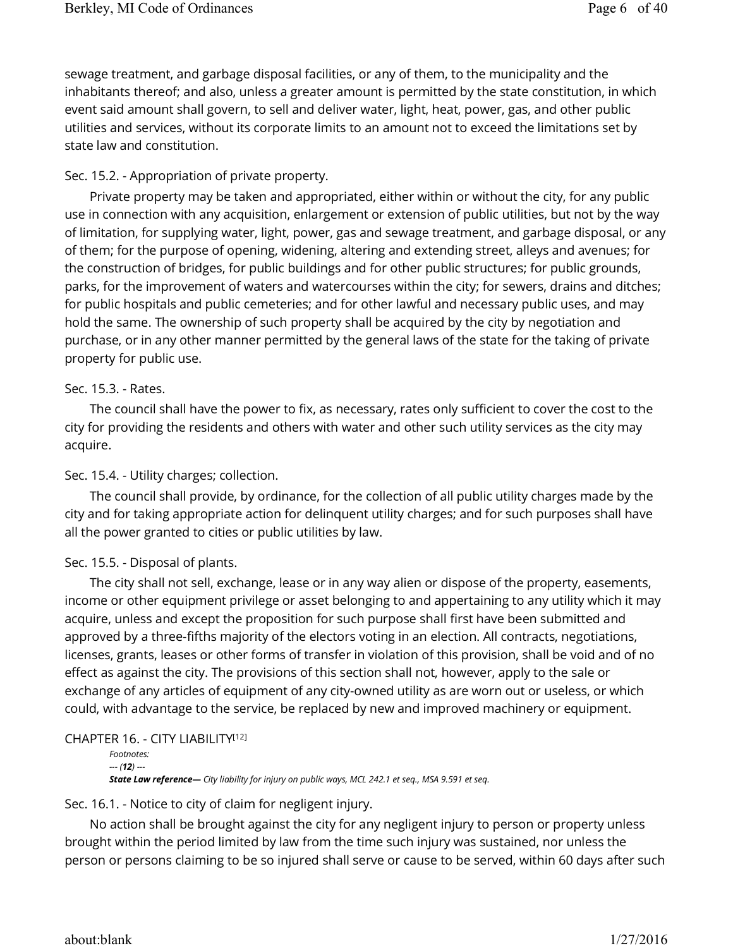sewage treatment, and garbage disposal facilities, or any of them, to the municipality and the inhabitants thereof; and also, unless a greater amount is permitted by the state constitution, in which event said amount shall govern, to sell and deliver water, light, heat, power, gas, and other public utilities and services, without its corporate limits to an amount not to exceed the limitations set by state law and constitution.

## Sec. 15.2. - Appropriation of private property.

Private property may be taken and appropriated, either within or without the city, for any public use in connection with any acquisition, enlargement or extension of public utilities, but not by the way of limitation, for supplying water, light, power, gas and sewage treatment, and garbage disposal, or any of them; for the purpose of opening, widening, altering and extending street, alleys and avenues; for the construction of bridges, for public buildings and for other public structures; for public grounds, parks, for the improvement of waters and watercourses within the city; for sewers, drains and ditches; for public hospitals and public cemeteries; and for other lawful and necessary public uses, and may hold the same. The ownership of such property shall be acquired by the city by negotiation and purchase, or in any other manner permitted by the general laws of the state for the taking of private property for public use.

## Sec. 15.3. - Rates.

The council shall have the power to fix, as necessary, rates only sufficient to cover the cost to the city for providing the residents and others with water and other such utility services as the city may acquire.

## Sec. 15.4. - Utility charges; collection.

The council shall provide, by ordinance, for the collection of all public utility charges made by the city and for taking appropriate action for delinquent utility charges; and for such purposes shall have all the power granted to cities or public utilities by law.

## Sec. 15.5. - Disposal of plants.

The city shall not sell, exchange, lease or in any way alien or dispose of the property, easements, income or other equipment privilege or asset belonging to and appertaining to any utility which it may acquire, unless and except the proposition for such purpose shall first have been submitted and approved by a three-fifths majority of the electors voting in an election. All contracts, negotiations, licenses, grants, leases or other forms of transfer in violation of this provision, shall be void and of no effect as against the city. The provisions of this section shall not, however, apply to the sale or exchange of any articles of equipment of any city-owned utility as are worn out or useless, or which could, with advantage to the service, be replaced by new and improved machinery or equipment.

#### CHAPTER 16. - CITY LIABILITY [12]

```
Footnotes: 
--- (12) ---
State Law reference— City liability for injury on public ways, MCL 242.1 et seq., MSA 9.591 et seq.
```
Sec. 16.1. - Notice to city of claim for negligent injury.

No action shall be brought against the city for any negligent injury to person or property unless brought within the period limited by law from the time such injury was sustained, nor unless the person or persons claiming to be so injured shall serve or cause to be served, within 60 days after such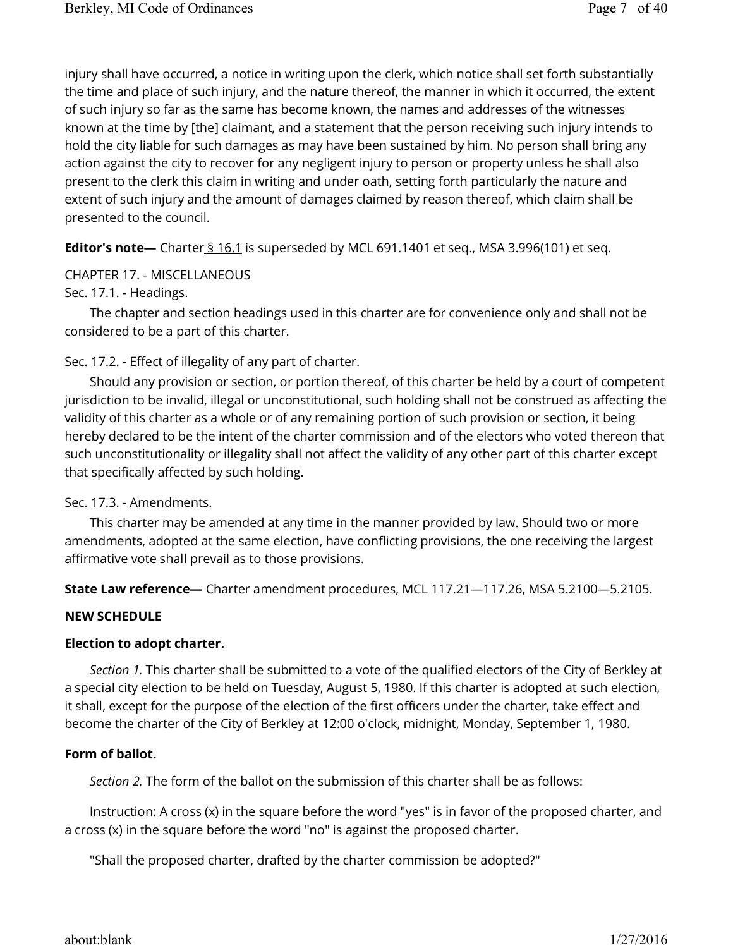injury shall have occurred, a notice in writing upon the clerk, which notice shall set forth substantially the time and place of such injury, and the nature thereof, the manner in which it occurred, the extent of such injury so far as the same has become known, the names and addresses of the witnesses known at the time by [the] claimant, and a statement that the person receiving such injury intends to hold the city liable for such damages as may have been sustained by him. No person shall bring any action against the city to recover for any negligent injury to person or property unless he shall also present to the clerk this claim in writing and under oath, setting forth particularly the nature and extent of such injury and the amount of damages claimed by reason thereof, which claim shall be presented to the council.

**Editor's note**— Charter § 16.1 is superseded by MCL 691.1401 et seq., MSA 3.996(101) et seq.

## CHAPTER 17. - MISCELLANEOUS

## Sec. 17.1. - Headings.

The chapter and section headings used in this charter are for convenience only and shall not be considered to be a part of this charter.

# Sec. 17.2. - Effect of illegality of any part of charter.

Should any provision or section, or portion thereof, of this charter be held by a court of competent jurisdiction to be invalid, illegal or unconstitutional, such holding shall not be construed as affecting the validity of this charter as a whole or of any remaining portion of such provision or section, it being hereby declared to be the intent of the charter commission and of the electors who voted thereon that such unconstitutionality or illegality shall not affect the validity of any other part of this charter except that specifically affected by such holding.

## Sec. 17.3. - Amendments.

This charter may be amended at any time in the manner provided by law. Should two or more amendments, adopted at the same election, have conflicting provisions, the one receiving the largest affirmative vote shall prevail as to those provisions.

**State Law reference—** Charter amendment procedures, MCL 117.21—117.26, MSA 5.2100—5.2105.

## **NEW SCHEDULE**

## **Election to adopt charter.**

*Section 1.* This charter shall be submitted to a vote of the qualified electors of the City of Berkley at a special city election to be held on Tuesday, August 5, 1980. If this charter is adopted at such election, it shall, except for the purpose of the election of the first officers under the charter, take effect and become the charter of the City of Berkley at 12:00 o'clock, midnight, Monday, September 1, 1980.

## **Form of ballot.**

*Section 2.* The form of the ballot on the submission of this charter shall be as follows:

Instruction: A cross (x) in the square before the word "yes" is in favor of the proposed charter, and a cross (x) in the square before the word "no" is against the proposed charter.

"Shall the proposed charter, drafted by the charter commission be adopted?"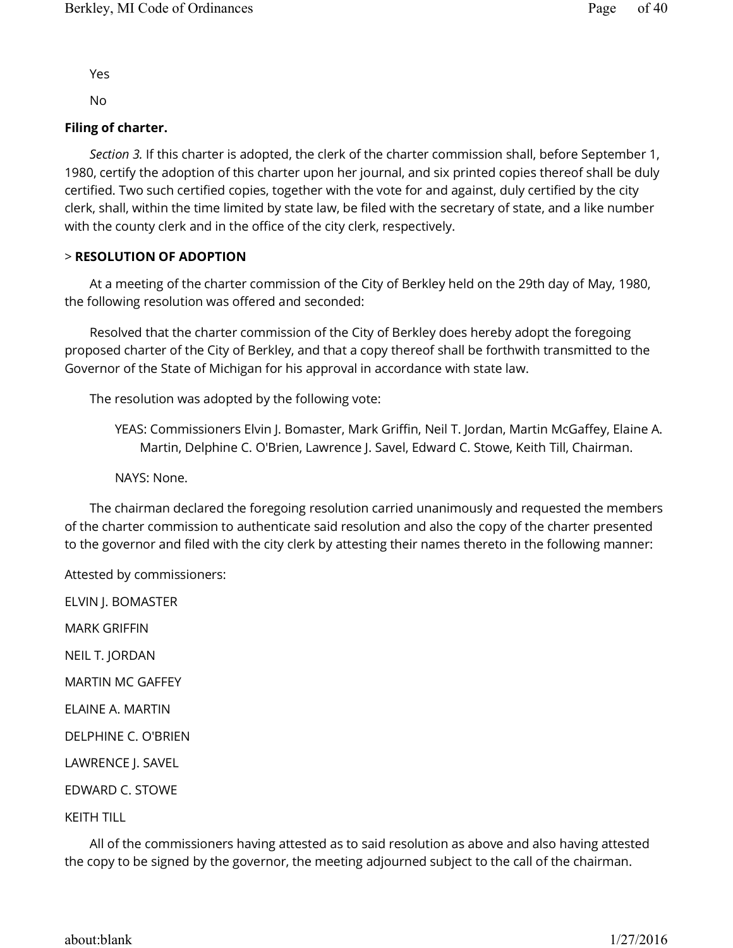Yes

No

## **Filing of charter.**

*Section 3.* If this charter is adopted, the clerk of the charter commission shall, before September 1, 1980, certify the adoption of this charter upon her journal, and six printed copies thereof shall be duly certified. Two such certified copies, together with the vote for and against, duly certified by the city clerk, shall, within the time limited by state law, be filed with the secretary of state, and a like number with the county clerk and in the office of the city clerk, respectively.

## > **RESOLUTION OF ADOPTION**

At a meeting of the charter commission of the City of Berkley held on the 29th day of May, 1980, the following resolution was offered and seconded:

Resolved that the charter commission of the City of Berkley does hereby adopt the foregoing proposed charter of the City of Berkley, and that a copy thereof shall be forthwith transmitted to the Governor of the State of Michigan for his approval in accordance with state law.

The resolution was adopted by the following vote:

YEAS: Commissioners Elvin J. Bomaster, Mark Griffin, Neil T. Jordan, Martin McGaffey, Elaine A. Martin, Delphine C. O'Brien, Lawrence J. Savel, Edward C. Stowe, Keith Till, Chairman.

NAYS: None.

The chairman declared the foregoing resolution carried unanimously and requested the members of the charter commission to authenticate said resolution and also the copy of the charter presented to the governor and filed with the city clerk by attesting their names thereto in the following manner:

Attested by commissioners:

ELVIN J. BOMASTER MARK GRIFFIN NEIL T. JORDAN MARTIN MC GAFFEY ELAINE A. MARTIN DELPHINE C. O'BRIEN LAWRENCE J. SAVEL EDWARD C. STOWE KEITH TILL

All of the commissioners having attested as to said resolution as above and also having attested the copy to be signed by the governor, the meeting adjourned subject to the call of the chairman.

about:blank 1/27/2016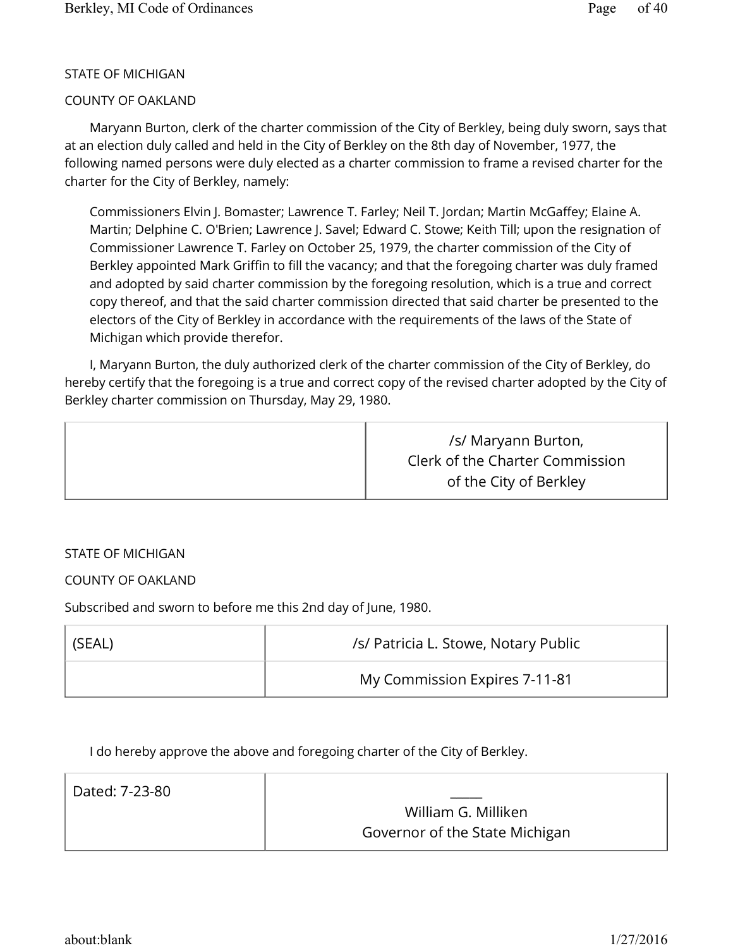## STATE OF MICHIGAN

## COUNTY OF OAKLAND

Maryann Burton, clerk of the charter commission of the City of Berkley, being duly sworn, says that at an election duly called and held in the City of Berkley on the 8th day of November, 1977, the following named persons were duly elected as a charter commission to frame a revised charter for the charter for the City of Berkley, namely:

Commissioners Elvin J. Bomaster; Lawrence T. Farley; Neil T. Jordan; Martin McGaffey; Elaine A. Martin; Delphine C. O'Brien; Lawrence J. Savel; Edward C. Stowe; Keith Till; upon the resignation of Commissioner Lawrence T. Farley on October 25, 1979, the charter commission of the City of Berkley appointed Mark Griffin to fill the vacancy; and that the foregoing charter was duly framed and adopted by said charter commission by the foregoing resolution, which is a true and correct copy thereof, and that the said charter commission directed that said charter be presented to the electors of the City of Berkley in accordance with the requirements of the laws of the State of Michigan which provide therefor.

I, Maryann Burton, the duly authorized clerk of the charter commission of the City of Berkley, do hereby certify that the foregoing is a true and correct copy of the revised charter adopted by the City of Berkley charter commission on Thursday, May 29, 1980.

|  | /s/ Maryann Burton,<br>Clerk of the Charter Commission<br>of the City of Berkley |
|--|----------------------------------------------------------------------------------|
|--|----------------------------------------------------------------------------------|

## STATE OF MICHIGAN

# COUNTY OF OAKLAND

Subscribed and sworn to before me this 2nd day of June, 1980.

| i (SEAL) | /s/ Patricia L. Stowe, Notary Public |
|----------|--------------------------------------|
|          | My Commission Expires 7-11-81        |

I do hereby approve the above and foregoing charter of the City of Berkley.

| Dated: 7-23-80 |                                |
|----------------|--------------------------------|
|                | William G. Milliken            |
|                | Governor of the State Michigan |